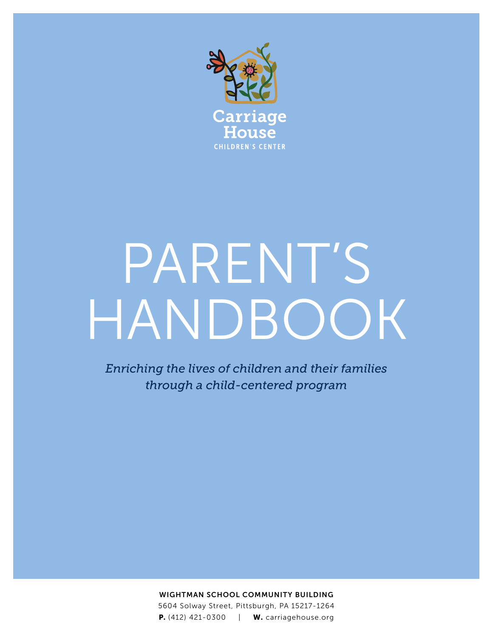

# PARENT'S HANDBOOK

*Enriching the lives of children and their families through a child-centered program*

> WIGHTMAN SCHOOL COMMUNITY BUILDING 5604 Solway Street, Pittsburgh, PA 15217-1264 **P.** (412) 421-0300 | **W.** carriagehouse.org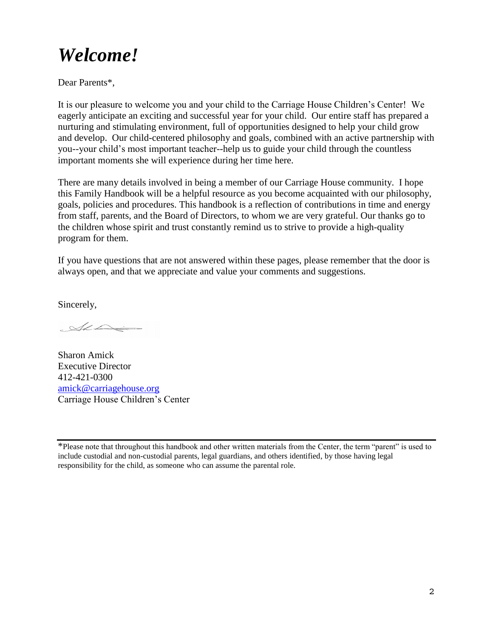## *Welcome!*

Dear Parents\*,

It is our pleasure to welcome you and your child to the Carriage House Children's Center! We eagerly anticipate an exciting and successful year for your child. Our entire staff has prepared a nurturing and stimulating environment, full of opportunities designed to help your child grow and develop. Our child-centered philosophy and goals, combined with an active partnership with you--your child's most important teacher--help us to guide your child through the countless important moments she will experience during her time here.

There are many details involved in being a member of our Carriage House community. I hope this Family Handbook will be a helpful resource as you become acquainted with our philosophy, goals, policies and procedures. This handbook is a reflection of contributions in time and energy from staff, parents, and the Board of Directors, to whom we are very grateful. Our thanks go to the children whose spirit and trust constantly remind us to strive to provide a high-quality program for them.

If you have questions that are not answered within these pages, please remember that the door is always open, and that we appreciate and value your comments and suggestions.

Sincerely,

 $\sim$ 

Sharon Amick Executive Director 412-421-0300 [amick@carriagehouse.org](mailto:amick@carriagehouse.org) Carriage House Children's Center

\*Please note that throughout this handbook and other written materials from the Center, the term "parent" is used to include custodial and non-custodial parents, legal guardians, and others identified, by those having legal responsibility for the child, as someone who can assume the parental role.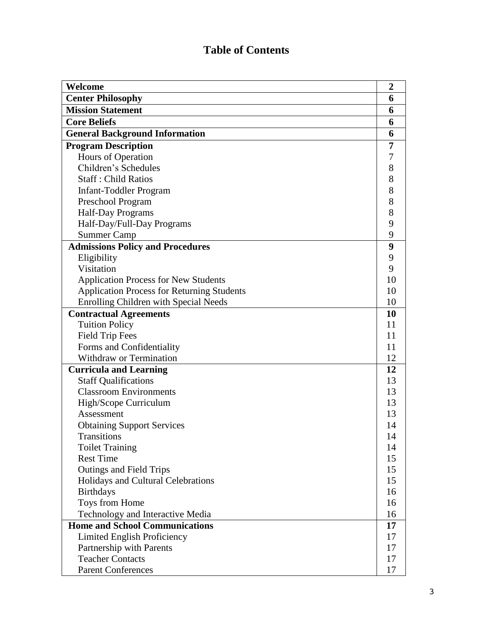## **Table of Contents**

| Welcome                                           | $\boldsymbol{2}$ |
|---------------------------------------------------|------------------|
| <b>Center Philosophy</b>                          | 6                |
| <b>Mission Statement</b>                          | 6                |
| <b>Core Beliefs</b>                               | 6                |
| <b>General Background Information</b>             | 6                |
| <b>Program Description</b>                        | 7                |
| Hours of Operation                                | 7                |
| Children's Schedules                              | 8                |
| <b>Staff: Child Ratios</b>                        | 8                |
| <b>Infant-Toddler Program</b>                     | 8                |
| Preschool Program                                 | 8                |
| Half-Day Programs                                 | 8                |
| Half-Day/Full-Day Programs                        | 9                |
| <b>Summer Camp</b>                                | 9                |
| <b>Admissions Policy and Procedures</b>           | 9                |
| Eligibility                                       | 9                |
| Visitation                                        | 9                |
| <b>Application Process for New Students</b>       | 10               |
| <b>Application Process for Returning Students</b> | 10               |
| <b>Enrolling Children with Special Needs</b>      | 10               |
| <b>Contractual Agreements</b>                     | 10               |
| <b>Tuition Policy</b>                             | 11               |
| <b>Field Trip Fees</b>                            | 11               |
| Forms and Confidentiality                         | 11               |
| <b>Withdraw or Termination</b>                    | 12               |
| <b>Curricula and Learning</b>                     | 12               |
| <b>Staff Qualifications</b>                       | 13               |
| <b>Classroom Environments</b>                     | 13               |
| High/Scope Curriculum                             | 13               |
| Assessment                                        | 13               |
| <b>Obtaining Support Services</b>                 | 14               |
| <b>Transitions</b>                                | 14               |
| <b>Toilet Training</b>                            | 14               |
| <b>Rest Time</b>                                  | 15               |
| Outings and Field Trips                           | 15               |
| Holidays and Cultural Celebrations                | 15               |
| <b>Birthdays</b>                                  | 16               |
| Toys from Home                                    | 16               |
| Technology and Interactive Media                  | 16               |
| <b>Home and School Communications</b>             | 17               |
| Limited English Proficiency                       | 17               |
| Partnership with Parents                          | 17               |
| <b>Teacher Contacts</b>                           | 17               |
| <b>Parent Conferences</b>                         | 17               |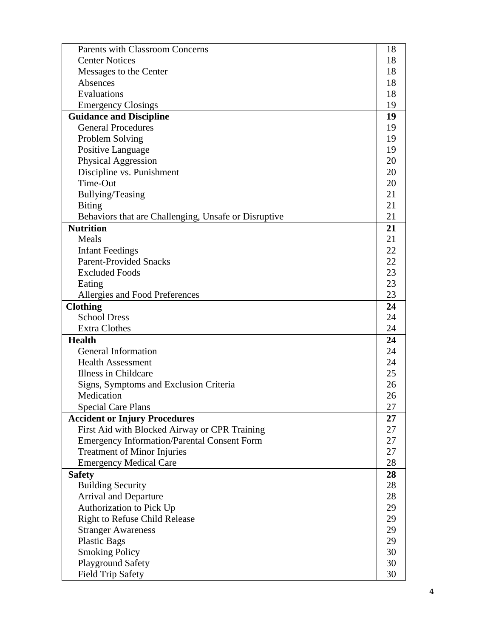| 18 |
|----|
|    |
| 18 |
| 18 |
| 18 |
| 19 |
| 19 |
| 19 |
| 19 |
| 19 |
| 20 |
| 20 |
| 20 |
| 21 |
| 21 |
| 21 |
| 21 |
| 21 |
| 22 |
| 22 |
| 23 |
| 23 |
| 23 |
| 24 |
| 24 |
| 24 |
| 24 |
| 24 |
| 24 |
| 25 |
| 26 |
| 26 |
| 27 |
| 27 |
| 27 |
| 27 |
| 27 |
| 28 |
| 28 |
| 28 |
| 28 |
| 29 |
| 29 |
| 29 |
| 29 |
| 30 |
| 30 |
| 30 |
|    |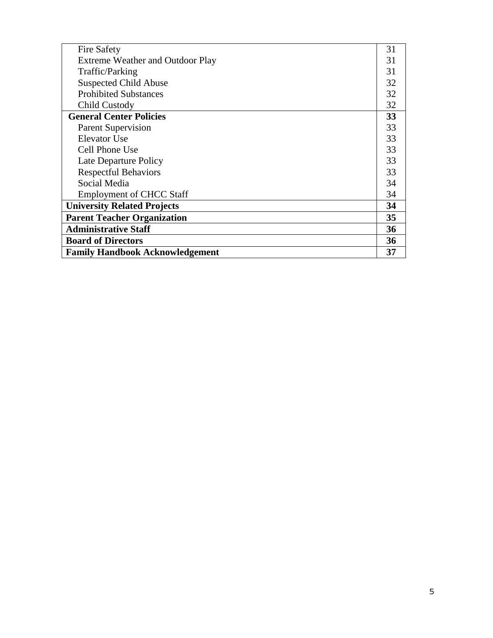| <b>Fire Safety</b>                     | 31 |
|----------------------------------------|----|
| Extreme Weather and Outdoor Play       | 31 |
| Traffic/Parking                        | 31 |
| <b>Suspected Child Abuse</b>           | 32 |
| <b>Prohibited Substances</b>           | 32 |
| Child Custody                          | 32 |
| <b>General Center Policies</b>         | 33 |
| <b>Parent Supervision</b>              | 33 |
| Elevator Use                           | 33 |
| Cell Phone Use                         | 33 |
| Late Departure Policy                  | 33 |
| <b>Respectful Behaviors</b>            | 33 |
| Social Media                           | 34 |
| <b>Employment of CHCC Staff</b>        | 34 |
| <b>University Related Projects</b>     | 34 |
| <b>Parent Teacher Organization</b>     | 35 |
| <b>Administrative Staff</b>            | 36 |
| <b>Board of Directors</b>              | 36 |
| <b>Family Handbook Acknowledgement</b> | 37 |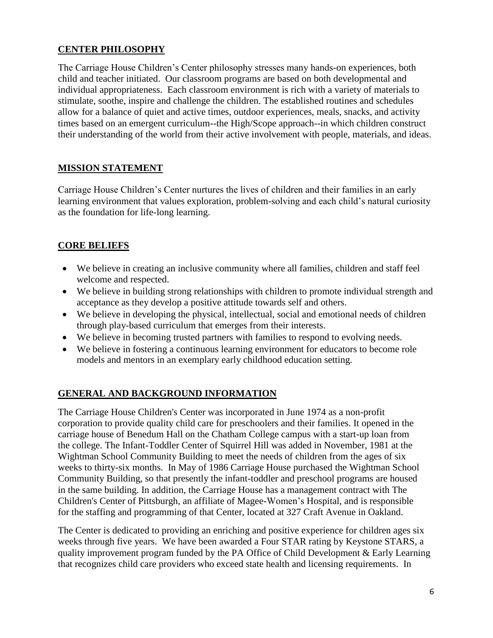#### **CENTER PHILOSOPHY**

The Carriage House Children's Center philosophy stresses many hands-on experiences, both child and teacher initiated. Our classroom programs are based on both developmental and individual appropriateness. Each classroom environment is rich with a variety of materials to stimulate, soothe, inspire and challenge the children. The established routines and schedules allow for a balance of quiet and active times, outdoor experiences, meals, snacks, and activity times based on an emergent curriculum--the High/Scope approach--in which children construct their understanding of the world from their active involvement with people, materials, and ideas.

#### **MISSION STATEMENT**

Carriage House Children's Center nurtures the lives of children and their families in an early learning environment that values exploration, problem-solving and each child's natural curiosity as the foundation for life-long learning.

### **CORE BELIEFS**

- We believe in creating an inclusive community where all families, children and staff feel welcome and respected.
- We believe in building strong relationships with children to promote individual strength and acceptance as they develop a positive attitude towards self and others.
- We believe in developing the physical, intellectual, social and emotional needs of children through play-based curriculum that emerges from their interests.
- We believe in becoming trusted partners with families to respond to evolving needs.
- We believe in fostering a continuous learning environment for educators to become role models and mentors in an exemplary early childhood education setting.

#### **GENERAL AND BACKGROUND INFORMATION**

The Carriage House Children's Center was incorporated in June 1974 as a non-profit corporation to provide quality child care for preschoolers and their families. It opened in the carriage house of Benedum Hall on the Chatham College campus with a start-up loan from the college. The Infant-Toddler Center of Squirrel Hill was added in November, 1981 at the Wightman School Community Building to meet the needs of children from the ages of six weeks to thirty-six months. In May of 1986 Carriage House purchased the Wightman School Community Building, so that presently the infant-toddler and preschool programs are housed in the same building. In addition, the Carriage House has a management contract with The Children's Center of Pittsburgh, an affiliate of Magee-Women's Hospital, and is responsible for the staffing and programming of that Center, located at 327 Craft Avenue in Oakland.

The Center is dedicated to providing an enriching and positive experience for children ages six weeks through five years. We have been awarded a Four STAR rating by Keystone STARS, a quality improvement program funded by the PA Office of Child Development & Early Learning that recognizes child care providers who exceed state health and licensing requirements. In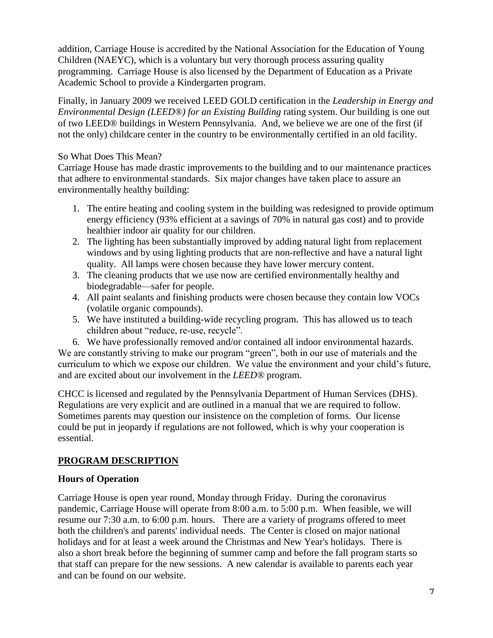addition, Carriage House is accredited by the National Association for the Education of Young Children (NAEYC), which is a voluntary but very thorough process assuring quality programming. Carriage House is also licensed by the Department of Education as a Private Academic School to provide a Kindergarten program.

Finally, in January 2009 we received LEED GOLD certification in the *Leadership in Energy and Environmental Design (LEED®) for an Existing Building rating system. Our building is one out* of two LEED® buildings in Western Pennsylvania. And, we believe we are one of the first (if not the only) childcare center in the country to be environmentally certified in an old facility.

#### So What Does This Mean?

Carriage House has made drastic improvements to the building and to our maintenance practices that adhere to environmental standards. Six major changes have taken place to assure an environmentally healthy building:

- 1. The entire heating and cooling system in the building was redesigned to provide optimum energy efficiency (93% efficient at a savings of 70% in natural gas cost) and to provide healthier indoor air quality for our children.
- 2. The lighting has been substantially improved by adding natural light from replacement windows and by using lighting products that are non-reflective and have a natural light quality. All lamps were chosen because they have lower mercury content.
- 3. The cleaning products that we use now are certified environmentally healthy and biodegradable—safer for people.
- 4. All paint sealants and finishing products were chosen because they contain low VOCs (volatile organic compounds).
- 5. We have instituted a building-wide recycling program. This has allowed us to teach children about "reduce, re-use, recycle".

6. We have professionally removed and/or contained all indoor environmental hazards. We are constantly striving to make our program "green", both in our use of materials and the curriculum to which we expose our children. We value the environment and your child's future, and are excited about our involvement in the *LEED®* program.

CHCC is licensed and regulated by the Pennsylvania Department of Human Services (DHS). Regulations are very explicit and are outlined in a manual that we are required to follow. Sometimes parents may question our insistence on the completion of forms. Our license could be put in jeopardy if regulations are not followed, which is why your cooperation is essential.

#### **PROGRAM DESCRIPTION**

#### **Hours of Operation**

Carriage House is open year round, Monday through Friday. During the coronavirus pandemic, Carriage House will operate from 8:00 a.m. to 5:00 p.m. When feasible, we will resume our 7:30 a.m. to 6:00 p.m. hours. There are a variety of programs offered to meet both the children's and parents' individual needs. The Center is closed on major national holidays and for at least a week around the Christmas and New Year's holidays. There is also a short break before the beginning of summer camp and before the fall program starts so that staff can prepare for the new sessions. A new calendar is available to parents each year and can be found on our website.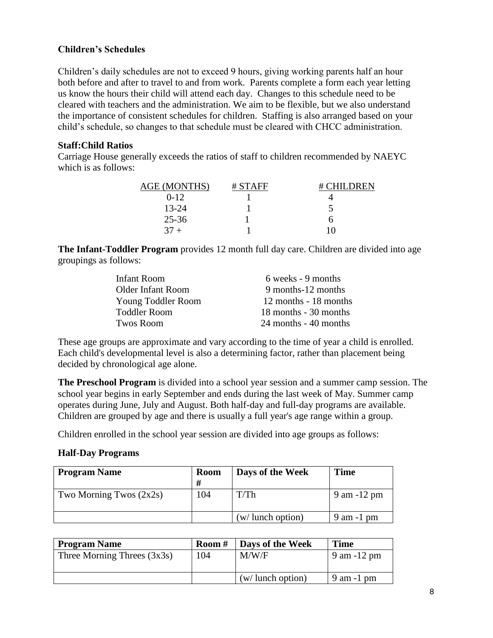#### **Children's Schedules**

Children's daily schedules are not to exceed 9 hours, giving working parents half an hour both before and after to travel to and from work. Parents complete a form each year letting us know the hours their child will attend each day. Changes to this schedule need to be cleared with teachers and the administration. We aim to be flexible, but we also understand the importance of consistent schedules for children. Staffing is also arranged based on your child's schedule, so changes to that schedule must be cleared with CHCC administration.

#### **Staff:Child Ratios**

Carriage House generally exceeds the ratios of staff to children recommended by NAEYC which is as follows:

| <b>AGE (MONTHS)</b> | $#$ STAFF | $#$ CHILDREN |
|---------------------|-----------|--------------|
| $0 - 12$            |           |              |
| $13 - 24$           |           |              |
| $25 - 36$           |           |              |
| 37                  |           |              |

**The Infant-Toddler Program** provides 12 month full day care. Children are divided into age groupings as follows:

| 6 weeks - 9 months    |
|-----------------------|
| 9 months-12 months    |
| 12 months - 18 months |
| 18 months - 30 months |
| 24 months - 40 months |
|                       |

These age groups are approximate and vary according to the time of year a child is enrolled. Each child's developmental level is also a determining factor, rather than placement being decided by chronological age alone.

**The Preschool Program** is divided into a school year session and a summer camp session. The school year begins in early September and ends during the last week of May. Summer camp operates during June, July and August. Both half-day and full-day programs are available. Children are grouped by age and there is usually a full year's age range within a group.

Children enrolled in the school year session are divided into age groups as follows:

#### **Half-Day Programs**

| <b>Program Name</b>       | <b>Room</b> | Days of the Week             | Time           |
|---------------------------|-------------|------------------------------|----------------|
|                           | #           |                              |                |
| Two Morning Twos $(2x2s)$ | 104         | T/Th                         | 9 am -12 pm    |
|                           |             | $(w / \text{ lunch option})$ | $9$ am $-1$ pm |

| <b>Program Name</b>           | Room# | Days of the Week     | <b>Time</b>     |
|-------------------------------|-------|----------------------|-----------------|
| Three Morning Threes $(3x3s)$ | 104   | M/W/F                | $9$ am $-12$ pm |
|                               |       |                      |                 |
|                               |       | $(w /$ lunch option) | $9$ am $-1$ pm  |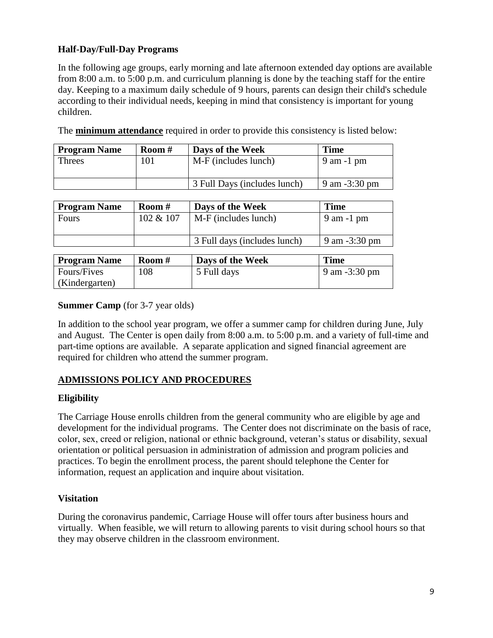#### **Half-Day/Full-Day Programs**

In the following age groups, early morning and late afternoon extended day options are available from 8:00 a.m. to 5:00 p.m. and curriculum planning is done by the teaching staff for the entire day. Keeping to a maximum daily schedule of 9 hours, parents can design their child's schedule according to their individual needs, keeping in mind that consistency is important for young children.

| <b>Program Name</b> | Room# | Days of the Week             | <b>Time</b>       |
|---------------------|-------|------------------------------|-------------------|
| Threes              | 101   | M-F (includes lunch)         | $9$ am $-1$ pm    |
|                     |       | 3 Full Days (includes lunch) | $9$ am $-3:30$ pm |

The **minimum attendance** required in order to provide this consistency is listed below:

| <b>Program Name</b> | Room#     | Days of the Week             | <b>Time</b>             |
|---------------------|-----------|------------------------------|-------------------------|
| Fours               | 102 & 107 | M-F (includes lunch)         | $9$ am $-1$ pm          |
|                     |           | 3 Full days (includes lunch) | 9 am $-3:30 \text{ pm}$ |

| <b>Program Name</b> | Room $#$ | Days of the Week | <b>Time</b>             |
|---------------------|----------|------------------|-------------------------|
| Fours/Fives         | 108      | 5 Full days      | 9 am $-3:30 \text{ pm}$ |
| (Kindergarten)      |          |                  |                         |

#### **Summer Camp** (for 3-7 year olds)

In addition to the school year program, we offer a summer camp for children during June, July and August. The Center is open daily from 8:00 a.m. to 5:00 p.m. and a variety of full-time and part-time options are available. A separate application and signed financial agreement are required for children who attend the summer program.

#### **ADMISSIONS POLICY AND PROCEDURES**

#### **Eligibility**

The Carriage House enrolls children from the general community who are eligible by age and development for the individual programs. The Center does not discriminate on the basis of race, color, sex, creed or religion, national or ethnic background, veteran's status or disability, sexual orientation or political persuasion in administration of admission and program policies and practices. To begin the enrollment process, the parent should telephone the Center for information, request an application and inquire about visitation.

#### **Visitation**

During the coronavirus pandemic, Carriage House will offer tours after business hours and virtually. When feasible, we will return to allowing parents to visit during school hours so that they may observe children in the classroom environment.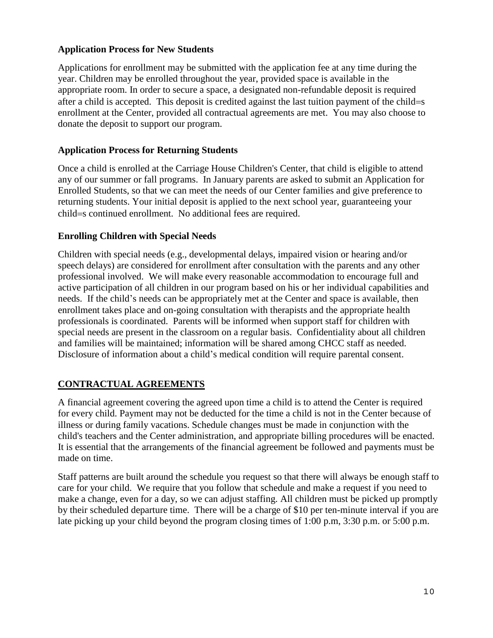#### **Application Process for New Students**

Applications for enrollment may be submitted with the application fee at any time during the year. Children may be enrolled throughout the year, provided space is available in the appropriate room. In order to secure a space, a designated non-refundable deposit is required after a child is accepted. This deposit is credited against the last tuition payment of the child= $s$ enrollment at the Center, provided all contractual agreements are met. You may also choose to donate the deposit to support our program.

#### **Application Process for Returning Students**

Once a child is enrolled at the Carriage House Children's Center, that child is eligible to attend any of our summer or fall programs. In January parents are asked to submit an Application for Enrolled Students, so that we can meet the needs of our Center families and give preference to returning students. Your initial deposit is applied to the next school year, guaranteeing your child=s continued enrollment. No additional fees are required.

#### **Enrolling Children with Special Needs**

Children with special needs (e.g., developmental delays, impaired vision or hearing and/or speech delays) are considered for enrollment after consultation with the parents and any other professional involved. We will make every reasonable accommodation to encourage full and active participation of all children in our program based on his or her individual capabilities and needs. If the child's needs can be appropriately met at the Center and space is available, then enrollment takes place and on-going consultation with therapists and the appropriate health professionals is coordinated. Parents will be informed when support staff for children with special needs are present in the classroom on a regular basis. Confidentiality about all children and families will be maintained; information will be shared among CHCC staff as needed. Disclosure of information about a child's medical condition will require parental consent.

#### **CONTRACTUAL AGREEMENTS**

A financial agreement covering the agreed upon time a child is to attend the Center is required for every child. Payment may not be deducted for the time a child is not in the Center because of illness or during family vacations. Schedule changes must be made in conjunction with the child's teachers and the Center administration, and appropriate billing procedures will be enacted. It is essential that the arrangements of the financial agreement be followed and payments must be made on time.

Staff patterns are built around the schedule you request so that there will always be enough staff to care for your child. We require that you follow that schedule and make a request if you need to make a change, even for a day, so we can adjust staffing. All children must be picked up promptly by their scheduled departure time. There will be a charge of \$10 per ten-minute interval if you are late picking up your child beyond the program closing times of 1:00 p.m, 3:30 p.m. or 5:00 p.m.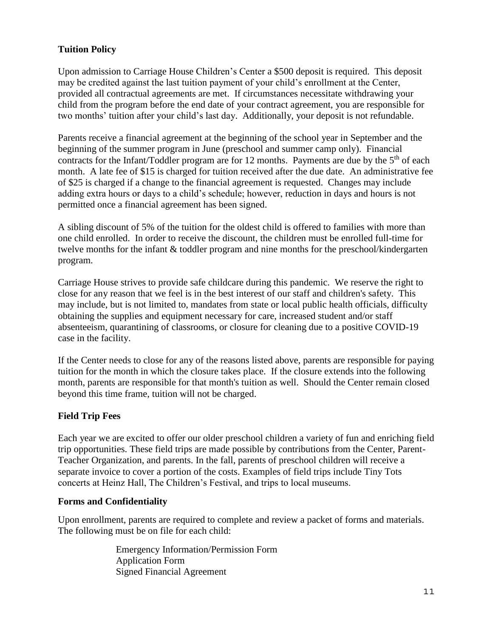#### **Tuition Policy**

Upon admission to Carriage House Children's Center a \$500 deposit is required. This deposit may be credited against the last tuition payment of your child's enrollment at the Center, provided all contractual agreements are met. If circumstances necessitate withdrawing your child from the program before the end date of your contract agreement, you are responsible for two months' tuition after your child's last day. Additionally, your deposit is not refundable.

Parents receive a financial agreement at the beginning of the school year in September and the beginning of the summer program in June (preschool and summer camp only). Financial contracts for the Infant/Toddler program are for 12 months. Payments are due by the  $5<sup>th</sup>$  of each month. A late fee of \$15 is charged for tuition received after the due date. An administrative fee of \$25 is charged if a change to the financial agreement is requested. Changes may include adding extra hours or days to a child's schedule; however, reduction in days and hours is not permitted once a financial agreement has been signed.

A sibling discount of 5% of the tuition for the oldest child is offered to families with more than one child enrolled. In order to receive the discount, the children must be enrolled full-time for twelve months for the infant & toddler program and nine months for the preschool/kindergarten program.

Carriage House strives to provide safe childcare during this pandemic. We reserve the right to close for any reason that we feel is in the best interest of our staff and children's safety. This may include, but is not limited to, mandates from state or local public health officials, difficulty obtaining the supplies and equipment necessary for care, increased student and/or staff absenteeism, quarantining of classrooms, or closure for cleaning due to a positive COVID-19 case in the facility.

If the Center needs to close for any of the reasons listed above, parents are responsible for paying tuition for the month in which the closure takes place. If the closure extends into the following month, parents are responsible for that month's tuition as well. Should the Center remain closed beyond this time frame, tuition will not be charged.

#### **Field Trip Fees**

Each year we are excited to offer our older preschool children a variety of fun and enriching field trip opportunities. These field trips are made possible by contributions from the Center, Parent-Teacher Organization, and parents. In the fall, parents of preschool children will receive a separate invoice to cover a portion of the costs. Examples of field trips include Tiny Tots concerts at Heinz Hall, The Children's Festival, and trips to local museums.

#### **Forms and Confidentiality**

Upon enrollment, parents are required to complete and review a packet of forms and materials. The following must be on file for each child:

> Emergency Information/Permission Form Application Form Signed Financial Agreement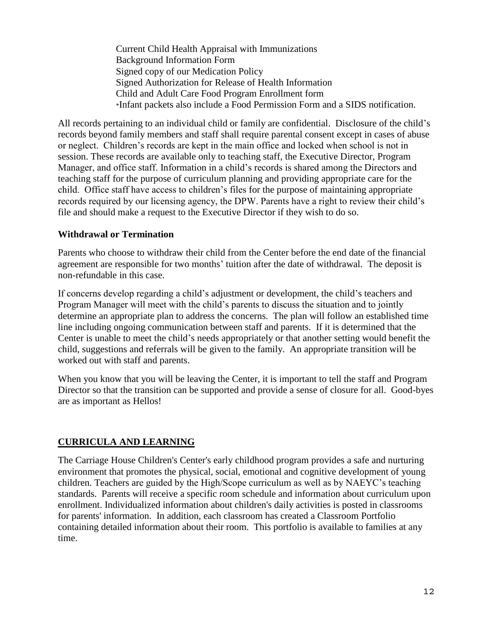Current Child Health Appraisal with Immunizations Background Information Form Signed copy of our Medication Policy Signed Authorization for Release of Health Information Child and Adult Care Food Program Enrollment form \*Infant packets also include a Food Permission Form and a SIDS notification.

All records pertaining to an individual child or family are confidential. Disclosure of the child's records beyond family members and staff shall require parental consent except in cases of abuse or neglect. Children's records are kept in the main office and locked when school is not in session. These records are available only to teaching staff, the Executive Director, Program Manager, and office staff. Information in a child's records is shared among the Directors and teaching staff for the purpose of curriculum planning and providing appropriate care for the child. Office staff have access to children's files for the purpose of maintaining appropriate records required by our licensing agency, the DPW. Parents have a right to review their child's file and should make a request to the Executive Director if they wish to do so.

#### **Withdrawal or Termination**

Parents who choose to withdraw their child from the Center before the end date of the financial agreement are responsible for two months' tuition after the date of withdrawal. The deposit is non-refundable in this case.

If concerns develop regarding a child's adjustment or development, the child's teachers and Program Manager will meet with the child's parents to discuss the situation and to jointly determine an appropriate plan to address the concerns. The plan will follow an established time line including ongoing communication between staff and parents. If it is determined that the Center is unable to meet the child's needs appropriately or that another setting would benefit the child, suggestions and referrals will be given to the family. An appropriate transition will be worked out with staff and parents.

When you know that you will be leaving the Center, it is important to tell the staff and Program Director so that the transition can be supported and provide a sense of closure for all. Good-byes are as important as Hellos!

#### **CURRICULA AND LEARNING**

The Carriage House Children's Center's early childhood program provides a safe and nurturing environment that promotes the physical, social, emotional and cognitive development of young children. Teachers are guided by the High/Scope curriculum as well as by NAEYC's teaching standards. Parents will receive a specific room schedule and information about curriculum upon enrollment. Individualized information about children's daily activities is posted in classrooms for parents' information. In addition, each classroom has created a Classroom Portfolio containing detailed information about their room. This portfolio is available to families at any time.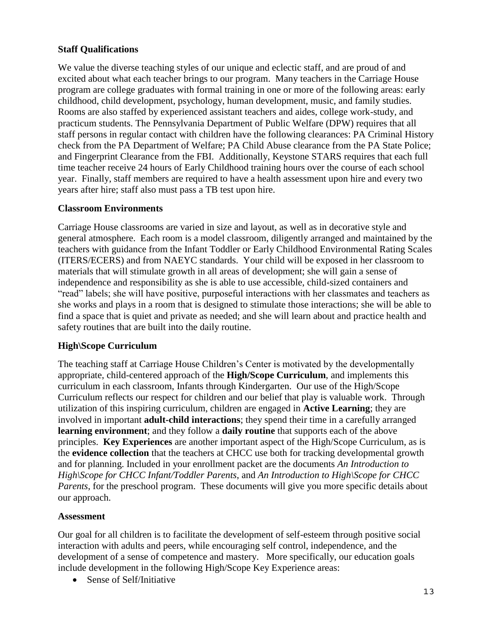#### **Staff Qualifications**

We value the diverse teaching styles of our unique and eclectic staff, and are proud of and excited about what each teacher brings to our program. Many teachers in the Carriage House program are college graduates with formal training in one or more of the following areas: early childhood, child development, psychology, human development, music, and family studies. Rooms are also staffed by experienced assistant teachers and aides, college work-study, and practicum students. The Pennsylvania Department of Public Welfare (DPW) requires that all staff persons in regular contact with children have the following clearances: PA Criminal History check from the PA Department of Welfare; PA Child Abuse clearance from the PA State Police; and Fingerprint Clearance from the FBI. Additionally, Keystone STARS requires that each full time teacher receive 24 hours of Early Childhood training hours over the course of each school year. Finally, staff members are required to have a health assessment upon hire and every two years after hire; staff also must pass a TB test upon hire.

#### **Classroom Environments**

Carriage House classrooms are varied in size and layout, as well as in decorative style and general atmosphere. Each room is a model classroom, diligently arranged and maintained by the teachers with guidance from the Infant Toddler or Early Childhood Environmental Rating Scales (ITERS/ECERS) and from NAEYC standards. Your child will be exposed in her classroom to materials that will stimulate growth in all areas of development; she will gain a sense of independence and responsibility as she is able to use accessible, child-sized containers and "read" labels; she will have positive, purposeful interactions with her classmates and teachers as she works and plays in a room that is designed to stimulate those interactions; she will be able to find a space that is quiet and private as needed; and she will learn about and practice health and safety routines that are built into the daily routine.

#### **High\Scope Curriculum**

The teaching staff at Carriage House Children's Center is motivated by the developmentally appropriate, child-centered approach of the **High/Scope Curriculum**, and implements this curriculum in each classroom, Infants through Kindergarten. Our use of the High/Scope Curriculum reflects our respect for children and our belief that play is valuable work. Through utilization of this inspiring curriculum, children are engaged in **Active Learning**; they are involved in important **adult-child interactions**; they spend their time in a carefully arranged **learning environment**; and they follow a **daily routine** that supports each of the above principles. **Key Experiences** are another important aspect of the High/Scope Curriculum, as is the **evidence collection** that the teachers at CHCC use both for tracking developmental growth and for planning. Included in your enrollment packet are the documents *An Introduction to High\Scope for CHCC Infant/Toddler Parents*, and *An Introduction to High\Scope for CHCC Parents*, for the preschool program. These documents will give you more specific details about our approach.

#### **Assessment**

Our goal for all children is to facilitate the development of self-esteem through positive social interaction with adults and peers, while encouraging self control, independence, and the development of a sense of competence and mastery. More specifically, our education goals include development in the following High/Scope Key Experience areas:

• Sense of Self/Initiative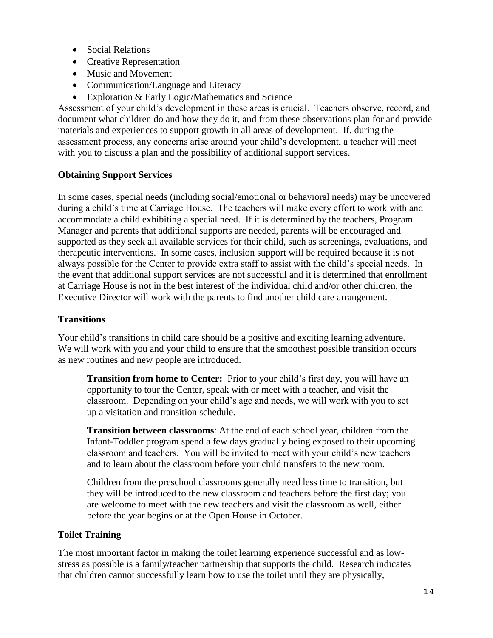- Social Relations
- Creative Representation
- Music and Movement
- Communication/Language and Literacy
- Exploration & Early Logic/Mathematics and Science

Assessment of your child's development in these areas is crucial. Teachers observe, record, and document what children do and how they do it, and from these observations plan for and provide materials and experiences to support growth in all areas of development. If, during the assessment process, any concerns arise around your child's development, a teacher will meet with you to discuss a plan and the possibility of additional support services.

#### **Obtaining Support Services**

In some cases, special needs (including social/emotional or behavioral needs) may be uncovered during a child's time at Carriage House. The teachers will make every effort to work with and accommodate a child exhibiting a special need. If it is determined by the teachers, Program Manager and parents that additional supports are needed, parents will be encouraged and supported as they seek all available services for their child, such as screenings, evaluations, and therapeutic interventions. In some cases, inclusion support will be required because it is not always possible for the Center to provide extra staff to assist with the child's special needs. In the event that additional support services are not successful and it is determined that enrollment at Carriage House is not in the best interest of the individual child and/or other children, the Executive Director will work with the parents to find another child care arrangement.

#### **Transitions**

Your child's transitions in child care should be a positive and exciting learning adventure. We will work with you and your child to ensure that the smoothest possible transition occurs as new routines and new people are introduced.

**Transition from home to Center:** Prior to your child's first day, you will have an opportunity to tour the Center, speak with or meet with a teacher, and visit the classroom. Depending on your child's age and needs, we will work with you to set up a visitation and transition schedule.

**Transition between classrooms**: At the end of each school year, children from the Infant-Toddler program spend a few days gradually being exposed to their upcoming classroom and teachers. You will be invited to meet with your child's new teachers and to learn about the classroom before your child transfers to the new room.

Children from the preschool classrooms generally need less time to transition, but they will be introduced to the new classroom and teachers before the first day; you are welcome to meet with the new teachers and visit the classroom as well, either before the year begins or at the Open House in October.

#### **Toilet Training**

The most important factor in making the toilet learning experience successful and as lowstress as possible is a family/teacher partnership that supports the child. Research indicates that children cannot successfully learn how to use the toilet until they are physically,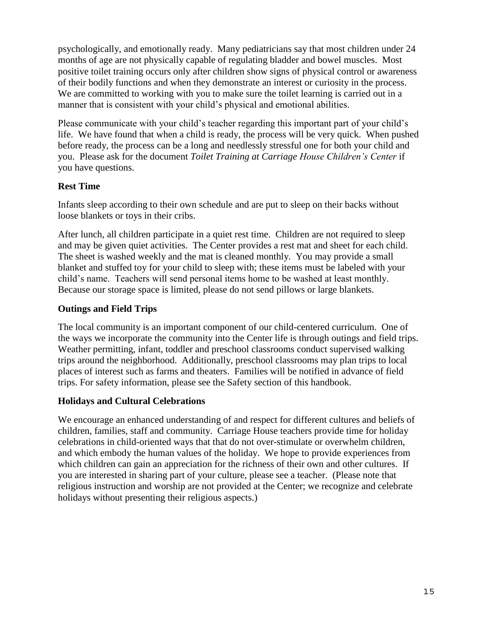psychologically, and emotionally ready. Many pediatricians say that most children under 24 months of age are not physically capable of regulating bladder and bowel muscles. Most positive toilet training occurs only after children show signs of physical control or awareness of their bodily functions and when they demonstrate an interest or curiosity in the process. We are committed to working with you to make sure the toilet learning is carried out in a manner that is consistent with your child's physical and emotional abilities.

Please communicate with your child's teacher regarding this important part of your child's life. We have found that when a child is ready, the process will be very quick. When pushed before ready, the process can be a long and needlessly stressful one for both your child and you. Please ask for the document *Toilet Training at Carriage House Children's Center* if you have questions.

#### **Rest Time**

Infants sleep according to their own schedule and are put to sleep on their backs without loose blankets or toys in their cribs.

After lunch, all children participate in a quiet rest time. Children are not required to sleep and may be given quiet activities. The Center provides a rest mat and sheet for each child. The sheet is washed weekly and the mat is cleaned monthly. You may provide a small blanket and stuffed toy for your child to sleep with; these items must be labeled with your child's name. Teachers will send personal items home to be washed at least monthly. Because our storage space is limited, please do not send pillows or large blankets.

#### **Outings and Field Trips**

The local community is an important component of our child-centered curriculum. One of the ways we incorporate the community into the Center life is through outings and field trips. Weather permitting, infant, toddler and preschool classrooms conduct supervised walking trips around the neighborhood. Additionally, preschool classrooms may plan trips to local places of interest such as farms and theaters. Families will be notified in advance of field trips. For safety information, please see the Safety section of this handbook.

#### **Holidays and Cultural Celebrations**

We encourage an enhanced understanding of and respect for different cultures and beliefs of children, families, staff and community. Carriage House teachers provide time for holiday celebrations in child-oriented ways that that do not over-stimulate or overwhelm children, and which embody the human values of the holiday. We hope to provide experiences from which children can gain an appreciation for the richness of their own and other cultures. If you are interested in sharing part of your culture, please see a teacher. (Please note that religious instruction and worship are not provided at the Center; we recognize and celebrate holidays without presenting their religious aspects.)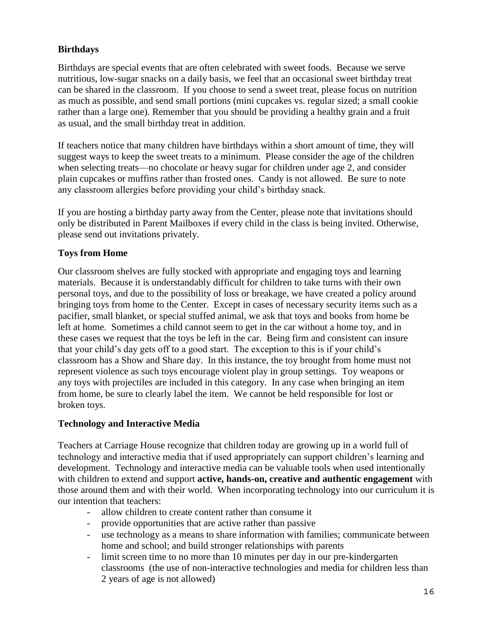#### **Birthdays**

Birthdays are special events that are often celebrated with sweet foods. Because we serve nutritious, low-sugar snacks on a daily basis, we feel that an occasional sweet birthday treat can be shared in the classroom. If you choose to send a sweet treat, please focus on nutrition as much as possible, and send small portions (mini cupcakes vs. regular sized; a small cookie rather than a large one). Remember that you should be providing a healthy grain and a fruit as usual, and the small birthday treat in addition.

If teachers notice that many children have birthdays within a short amount of time, they will suggest ways to keep the sweet treats to a minimum. Please consider the age of the children when selecting treats—no chocolate or heavy sugar for children under age 2, and consider plain cupcakes or muffins rather than frosted ones. Candy is not allowed. Be sure to note any classroom allergies before providing your child's birthday snack.

If you are hosting a birthday party away from the Center, please note that invitations should only be distributed in Parent Mailboxes if every child in the class is being invited. Otherwise, please send out invitations privately.

#### **Toys from Home**

Our classroom shelves are fully stocked with appropriate and engaging toys and learning materials. Because it is understandably difficult for children to take turns with their own personal toys, and due to the possibility of loss or breakage, we have created a policy around bringing toys from home to the Center. Except in cases of necessary security items such as a pacifier, small blanket, or special stuffed animal, we ask that toys and books from home be left at home. Sometimes a child cannot seem to get in the car without a home toy, and in these cases we request that the toys be left in the car. Being firm and consistent can insure that your child's day gets off to a good start. The exception to this is if your child's classroom has a Show and Share day. In this instance, the toy brought from home must not represent violence as such toys encourage violent play in group settings. Toy weapons or any toys with projectiles are included in this category. In any case when bringing an item from home, be sure to clearly label the item. We cannot be held responsible for lost or broken toys.

#### **Technology and Interactive Media**

Teachers at Carriage House recognize that children today are growing up in a world full of technology and interactive media that if used appropriately can support children's learning and development. Technology and interactive media can be valuable tools when used intentionally with children to extend and support **active, hands-on, creative and authentic engagement** with those around them and with their world. When incorporating technology into our curriculum it is our intention that teachers:

- allow children to create content rather than consume it
- provide opportunities that are active rather than passive
- use technology as a means to share information with families; communicate between home and school; and build stronger relationships with parents
- limit screen time to no more than 10 minutes per day in our pre-kindergarten classrooms (the use of non-interactive technologies and media for children less than 2 years of age is not allowed)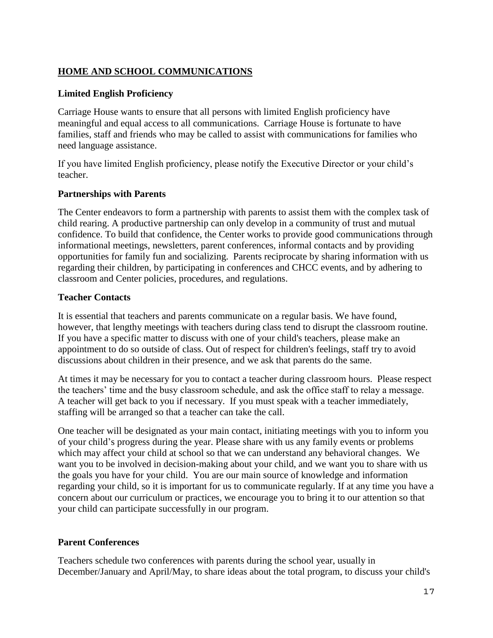#### **HOME AND SCHOOL COMMUNICATIONS**

#### **Limited English Proficiency**

Carriage House wants to ensure that all persons with limited English proficiency have meaningful and equal access to all communications. Carriage House is fortunate to have families, staff and friends who may be called to assist with communications for families who need language assistance.

If you have limited English proficiency, please notify the Executive Director or your child's teacher.

#### **Partnerships with Parents**

The Center endeavors to form a partnership with parents to assist them with the complex task of child rearing. A productive partnership can only develop in a community of trust and mutual confidence. To build that confidence, the Center works to provide good communications through informational meetings, newsletters, parent conferences, informal contacts and by providing opportunities for family fun and socializing. Parents reciprocate by sharing information with us regarding their children, by participating in conferences and CHCC events, and by adhering to classroom and Center policies, procedures, and regulations.

#### **Teacher Contacts**

It is essential that teachers and parents communicate on a regular basis. We have found, however, that lengthy meetings with teachers during class tend to disrupt the classroom routine. If you have a specific matter to discuss with one of your child's teachers, please make an appointment to do so outside of class. Out of respect for children's feelings, staff try to avoid discussions about children in their presence, and we ask that parents do the same.

At times it may be necessary for you to contact a teacher during classroom hours. Please respect the teachers' time and the busy classroom schedule, and ask the office staff to relay a message. A teacher will get back to you if necessary. If you must speak with a teacher immediately, staffing will be arranged so that a teacher can take the call.

One teacher will be designated as your main contact, initiating meetings with you to inform you of your child's progress during the year. Please share with us any family events or problems which may affect your child at school so that we can understand any behavioral changes. We want you to be involved in decision-making about your child, and we want you to share with us the goals you have for your child. You are our main source of knowledge and information regarding your child, so it is important for us to communicate regularly. If at any time you have a concern about our curriculum or practices, we encourage you to bring it to our attention so that your child can participate successfully in our program.

#### **Parent Conferences**

Teachers schedule two conferences with parents during the school year, usually in December/January and April/May, to share ideas about the total program, to discuss your child's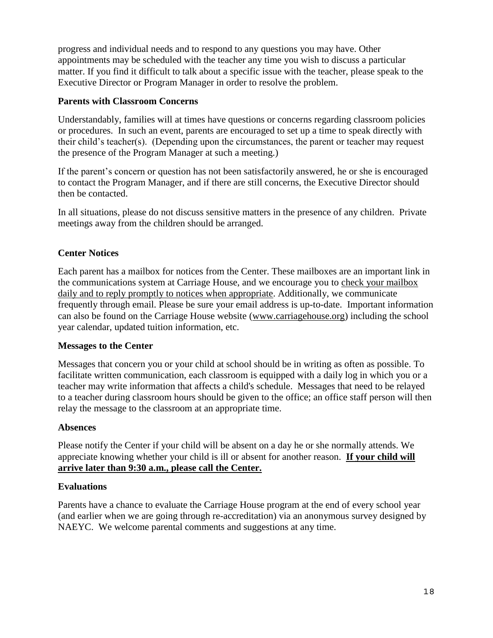progress and individual needs and to respond to any questions you may have. Other appointments may be scheduled with the teacher any time you wish to discuss a particular matter. If you find it difficult to talk about a specific issue with the teacher, please speak to the Executive Director or Program Manager in order to resolve the problem.

#### **Parents with Classroom Concerns**

Understandably, families will at times have questions or concerns regarding classroom policies or procedures. In such an event, parents are encouraged to set up a time to speak directly with their child's teacher(s). (Depending upon the circumstances, the parent or teacher may request the presence of the Program Manager at such a meeting.)

If the parent's concern or question has not been satisfactorily answered, he or she is encouraged to contact the Program Manager, and if there are still concerns, the Executive Director should then be contacted.

In all situations, please do not discuss sensitive matters in the presence of any children. Private meetings away from the children should be arranged.

#### **Center Notices**

Each parent has a mailbox for notices from the Center. These mailboxes are an important link in the communications system at Carriage House, and we encourage you to check your mailbox daily and to reply promptly to notices when appropriate. Additionally, we communicate frequently through email. Please be sure your email address is up-to-date. Important information can also be found on the Carriage House website [\(www.carriagehouse.org\)](http://www.carriagehouse.org/) including the school year calendar, updated tuition information, etc.

#### **Messages to the Center**

Messages that concern you or your child at school should be in writing as often as possible. To facilitate written communication, each classroom is equipped with a daily log in which you or a teacher may write information that affects a child's schedule. Messages that need to be relayed to a teacher during classroom hours should be given to the office; an office staff person will then relay the message to the classroom at an appropriate time.

#### **Absences**

Please notify the Center if your child will be absent on a day he or she normally attends. We appreciate knowing whether your child is ill or absent for another reason. **If your child will arrive later than 9:30 a.m., please call the Center.**

#### **Evaluations**

Parents have a chance to evaluate the Carriage House program at the end of every school year (and earlier when we are going through re-accreditation) via an anonymous survey designed by NAEYC. We welcome parental comments and suggestions at any time.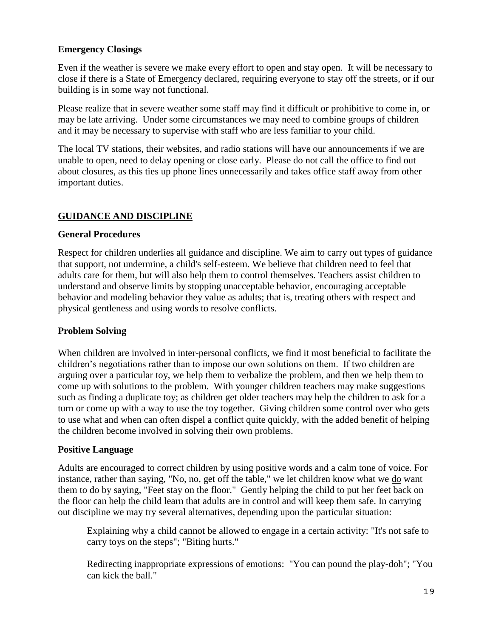#### **Emergency Closings**

Even if the weather is severe we make every effort to open and stay open. It will be necessary to close if there is a State of Emergency declared, requiring everyone to stay off the streets, or if our building is in some way not functional.

Please realize that in severe weather some staff may find it difficult or prohibitive to come in, or may be late arriving. Under some circumstances we may need to combine groups of children and it may be necessary to supervise with staff who are less familiar to your child.

The local TV stations, their websites, and radio stations will have our announcements if we are unable to open, need to delay opening or close early. Please do not call the office to find out about closures, as this ties up phone lines unnecessarily and takes office staff away from other important duties.

### **GUIDANCE AND DISCIPLINE**

#### **General Procedures**

Respect for children underlies all guidance and discipline. We aim to carry out types of guidance that support, not undermine, a child's self-esteem. We believe that children need to feel that adults care for them, but will also help them to control themselves. Teachers assist children to understand and observe limits by stopping unacceptable behavior, encouraging acceptable behavior and modeling behavior they value as adults; that is, treating others with respect and physical gentleness and using words to resolve conflicts.

#### **Problem Solving**

When children are involved in inter-personal conflicts, we find it most beneficial to facilitate the children's negotiations rather than to impose our own solutions on them. If two children are arguing over a particular toy, we help them to verbalize the problem, and then we help them to come up with solutions to the problem. With younger children teachers may make suggestions such as finding a duplicate toy; as children get older teachers may help the children to ask for a turn or come up with a way to use the toy together. Giving children some control over who gets to use what and when can often dispel a conflict quite quickly, with the added benefit of helping the children become involved in solving their own problems.

#### **Positive Language**

Adults are encouraged to correct children by using positive words and a calm tone of voice. For instance, rather than saying, "No, no, get off the table," we let children know what we do want them to do by saying, "Feet stay on the floor." Gently helping the child to put her feet back on the floor can help the child learn that adults are in control and will keep them safe. In carrying out discipline we may try several alternatives, depending upon the particular situation:

Explaining why a child cannot be allowed to engage in a certain activity: "It's not safe to carry toys on the steps"; "Biting hurts."

Redirecting inappropriate expressions of emotions: "You can pound the play-doh"; "You can kick the ball."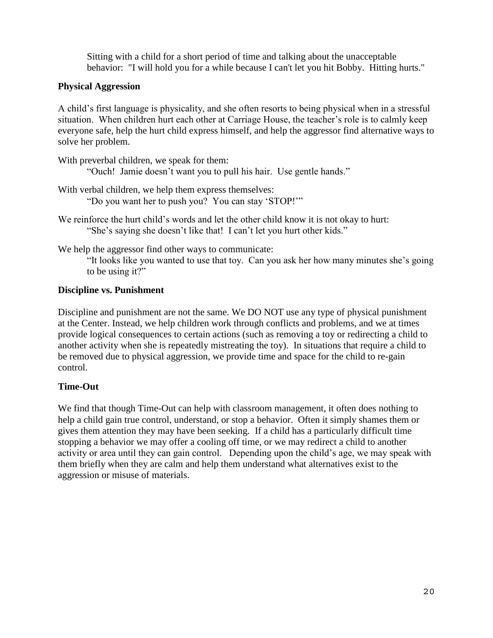Sitting with a child for a short period of time and talking about the unacceptable behavior: "I will hold you for a while because I can't let you hit Bobby. Hitting hurts."

#### **Physical Aggression**

A child's first language is physicality, and she often resorts to being physical when in a stressful situation. When children hurt each other at Carriage House, the teacher's role is to calmly keep everyone safe, help the hurt child express himself, and help the aggressor find alternative ways to solve her problem.

With preverbal children, we speak for them:

"Ouch! Jamie doesn't want you to pull his hair. Use gentle hands."

- With verbal children, we help them express themselves: "Do you want her to push you? You can stay 'STOP!'"
- We reinforce the hurt child's words and let the other child know it is not okay to hurt: "She's saying she doesn't like that! I can't let you hurt other kids."

We help the aggressor find other ways to communicate:

"It looks like you wanted to use that toy. Can you ask her how many minutes she's going to be using it?"

#### **Discipline vs. Punishment**

Discipline and punishment are not the same. We DO NOT use any type of physical punishment at the Center. Instead, we help children work through conflicts and problems, and we at times provide logical consequences to certain actions (such as removing a toy or redirecting a child to another activity when she is repeatedly mistreating the toy). In situations that require a child to be removed due to physical aggression, we provide time and space for the child to re-gain control.

#### **Time-Out**

We find that though Time-Out can help with classroom management, it often does nothing to help a child gain true control, understand, or stop a behavior. Often it simply shames them or gives them attention they may have been seeking. If a child has a particularly difficult time stopping a behavior we may offer a cooling off time, or we may redirect a child to another activity or area until they can gain control. Depending upon the child's age, we may speak with them briefly when they are calm and help them understand what alternatives exist to the aggression or misuse of materials.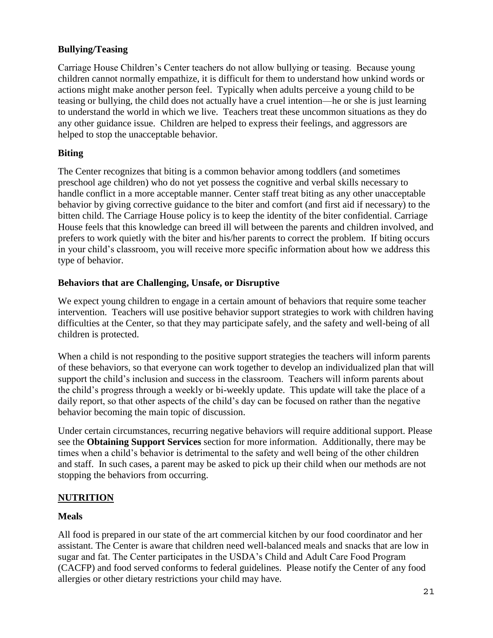#### **Bullying/Teasing**

Carriage House Children's Center teachers do not allow bullying or teasing. Because young children cannot normally empathize, it is difficult for them to understand how unkind words or actions might make another person feel. Typically when adults perceive a young child to be teasing or bullying, the child does not actually have a cruel intention—he or she is just learning to understand the world in which we live. Teachers treat these uncommon situations as they do any other guidance issue. Children are helped to express their feelings, and aggressors are helped to stop the unacceptable behavior.

#### **Biting**

The Center recognizes that biting is a common behavior among toddlers (and sometimes preschool age children) who do not yet possess the cognitive and verbal skills necessary to handle conflict in a more acceptable manner. Center staff treat biting as any other unacceptable behavior by giving corrective guidance to the biter and comfort (and first aid if necessary) to the bitten child. The Carriage House policy is to keep the identity of the biter confidential. Carriage House feels that this knowledge can breed ill will between the parents and children involved, and prefers to work quietly with the biter and his/her parents to correct the problem. If biting occurs in your child's classroom, you will receive more specific information about how we address this type of behavior.

#### **Behaviors that are Challenging, Unsafe, or Disruptive**

We expect young children to engage in a certain amount of behaviors that require some teacher intervention. Teachers will use positive behavior support strategies to work with children having difficulties at the Center, so that they may participate safely, and the safety and well-being of all children is protected.

When a child is not responding to the positive support strategies the teachers will inform parents of these behaviors, so that everyone can work together to develop an individualized plan that will support the child's inclusion and success in the classroom. Teachers will inform parents about the child's progress through a weekly or bi-weekly update. This update will take the place of a daily report, so that other aspects of the child's day can be focused on rather than the negative behavior becoming the main topic of discussion.

Under certain circumstances, recurring negative behaviors will require additional support. Please see the **Obtaining Support Services** section for more information. Additionally, there may be times when a child's behavior is detrimental to the safety and well being of the other children and staff. In such cases, a parent may be asked to pick up their child when our methods are not stopping the behaviors from occurring.

#### **NUTRITION**

#### **Meals**

All food is prepared in our state of the art commercial kitchen by our food coordinator and her assistant. The Center is aware that children need well-balanced meals and snacks that are low in sugar and fat. The Center participates in the USDA's Child and Adult Care Food Program (CACFP) and food served conforms to federal guidelines. Please notify the Center of any food allergies or other dietary restrictions your child may have.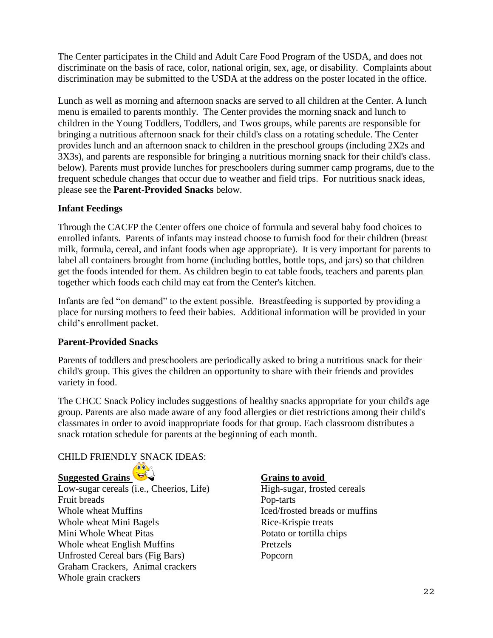The Center participates in the Child and Adult Care Food Program of the USDA, and does not discriminate on the basis of race, color, national origin, sex, age, or disability. Complaints about discrimination may be submitted to the USDA at the address on the poster located in the office.

Lunch as well as morning and afternoon snacks are served to all children at the Center. A lunch menu is emailed to parents monthly. The Center provides the morning snack and lunch to children in the Young Toddlers, Toddlers, and Twos groups, while parents are responsible for bringing a nutritious afternoon snack for their child's class on a rotating schedule. The Center provides lunch and an afternoon snack to children in the preschool groups (including 2X2s and 3X3s), and parents are responsible for bringing a nutritious morning snack for their child's class. below). Parents must provide lunches for preschoolers during summer camp programs, due to the frequent schedule changes that occur due to weather and field trips. For nutritious snack ideas, please see the **Parent-Provided Snacks** below.

#### **Infant Feedings**

Through the CACFP the Center offers one choice of formula and several baby food choices to enrolled infants. Parents of infants may instead choose to furnish food for their children (breast milk, formula, cereal, and infant foods when age appropriate). It is very important for parents to label all containers brought from home (including bottles, bottle tops, and jars) so that children get the foods intended for them. As children begin to eat table foods, teachers and parents plan together which foods each child may eat from the Center's kitchen.

Infants are fed "on demand" to the extent possible. Breastfeeding is supported by providing a place for nursing mothers to feed their babies. Additional information will be provided in your child's enrollment packet.

#### **Parent-Provided Snacks**

Parents of toddlers and preschoolers are periodically asked to bring a nutritious snack for their child's group. This gives the children an opportunity to share with their friends and provides variety in food.

The CHCC Snack Policy includes suggestions of healthy snacks appropriate for your child's age group. Parents are also made aware of any food allergies or diet restrictions among their child's classmates in order to avoid inappropriate foods for that group. Each classroom distributes a snack rotation schedule for parents at the beginning of each month.

#### CHILD FRIENDLY SNACK IDEAS:

**Suggested Grains Community Community Community Grains to avoid** 

Low-sugar cereals (i.e., Cheerios, Life) High-sugar, frosted cereals Fruit breads Pop-tarts Whole wheat Muffins Iced/frosted breads or muffins Whole wheat Mini Bagels Rice-Krispie treats Mini Whole Wheat Pitas Potato or tortilla chips Whole wheat English Muffins Pretzels Unfrosted Cereal bars (Fig Bars) Popcorn Graham Crackers, Animal crackers Whole grain crackers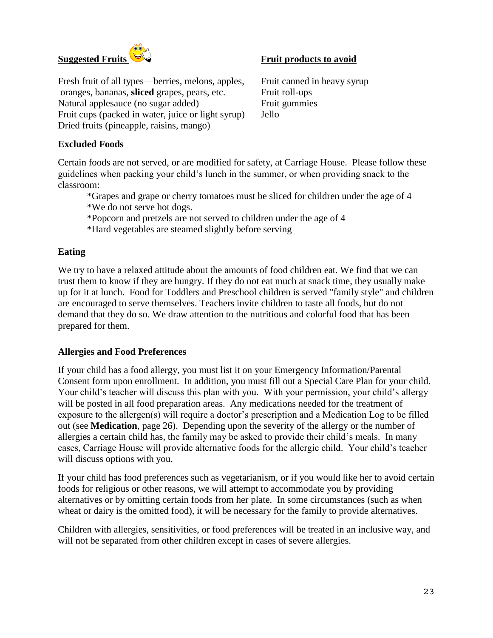

Fresh fruit of all types—berries, melons, apples, Fruit canned in heavy syrup oranges, bananas, **sliced** grapes, pears, etc. Fruit roll-ups Natural applesauce (no sugar added) Fruit gummies Fruit cups (packed in water, juice or light syrup) Jello Dried fruits (pineapple, raisins, mango)

#### **Excluded Foods**

Certain foods are not served, or are modified for safety, at Carriage House. Please follow these guidelines when packing your child's lunch in the summer, or when providing snack to the classroom:

\*Grapes and grape or cherry tomatoes must be sliced for children under the age of 4 \*We do not serve hot dogs.

\*Popcorn and pretzels are not served to children under the age of 4

\*Hard vegetables are steamed slightly before serving

#### **Eating**

We try to have a relaxed attitude about the amounts of food children eat. We find that we can trust them to know if they are hungry. If they do not eat much at snack time, they usually make up for it at lunch. Food for Toddlers and Preschool children is served "family style" and children are encouraged to serve themselves. Teachers invite children to taste all foods, but do not demand that they do so. We draw attention to the nutritious and colorful food that has been prepared for them.

#### **Allergies and Food Preferences**

If your child has a food allergy, you must list it on your Emergency Information/Parental Consent form upon enrollment. In addition, you must fill out a Special Care Plan for your child. Your child's teacher will discuss this plan with you. With your permission, your child's allergy will be posted in all food preparation areas. Any medications needed for the treatment of exposure to the allergen(s) will require a doctor's prescription and a Medication Log to be filled out (see **Medication**, page 26). Depending upon the severity of the allergy or the number of allergies a certain child has, the family may be asked to provide their child's meals. In many cases, Carriage House will provide alternative foods for the allergic child. Your child's teacher will discuss options with you.

If your child has food preferences such as vegetarianism, or if you would like her to avoid certain foods for religious or other reasons, we will attempt to accommodate you by providing alternatives or by omitting certain foods from her plate. In some circumstances (such as when wheat or dairy is the omitted food), it will be necessary for the family to provide alternatives.

Children with allergies, sensitivities, or food preferences will be treated in an inclusive way, and will not be separated from other children except in cases of severe allergies.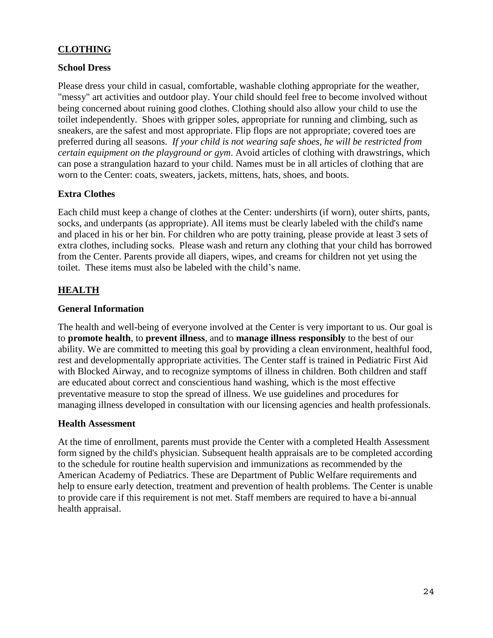#### **CLOTHING**

#### **School Dress**

Please dress your child in casual, comfortable, washable clothing appropriate for the weather, "messy" art activities and outdoor play. Your child should feel free to become involved without being concerned about ruining good clothes. Clothing should also allow your child to use the toilet independently. Shoes with gripper soles, appropriate for running and climbing, such as sneakers, are the safest and most appropriate. Flip flops are not appropriate; covered toes are preferred during all seasons. *If your child is not wearing safe shoes, he will be restricted from certain equipment on the playground or gym*. Avoid articles of clothing with drawstrings, which can pose a strangulation hazard to your child. Names must be in all articles of clothing that are worn to the Center: coats, sweaters, jackets, mittens, hats, shoes, and boots.

#### **Extra Clothes**

Each child must keep a change of clothes at the Center: undershirts (if worn), outer shirts, pants, socks, and underpants (as appropriate). All items must be clearly labeled with the child's name and placed in his or her bin. For children who are potty training, please provide at least 3 sets of extra clothes, including socks. Please wash and return any clothing that your child has borrowed from the Center. Parents provide all diapers, wipes, and creams for children not yet using the toilet. These items must also be labeled with the child's name.

#### **HEALTH**

#### **General Information**

The health and well-being of everyone involved at the Center is very important to us. Our goal is to **promote health**, to **prevent illness**, and to **manage illness responsibly** to the best of our ability. We are committed to meeting this goal by providing a clean environment, healthful food, rest and developmentally appropriate activities. The Center staff is trained in Pediatric First Aid with Blocked Airway, and to recognize symptoms of illness in children. Both children and staff are educated about correct and conscientious hand washing, which is the most effective preventative measure to stop the spread of illness. We use guidelines and procedures for managing illness developed in consultation with our licensing agencies and health professionals.

#### **Health Assessment**

At the time of enrollment, parents must provide the Center with a completed Health Assessment form signed by the child's physician. Subsequent health appraisals are to be completed according to the schedule for routine health supervision and immunizations as recommended by the American Academy of Pediatrics. These are Department of Public Welfare requirements and help to ensure early detection, treatment and prevention of health problems. The Center is unable to provide care if this requirement is not met. Staff members are required to have a bi-annual health appraisal.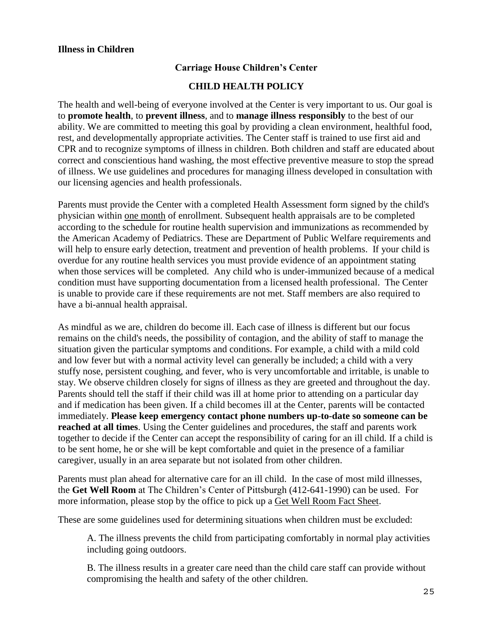#### **Carriage House Children's Center**

#### **CHILD HEALTH POLICY**

The health and well-being of everyone involved at the Center is very important to us. Our goal is to **promote health**, to **prevent illness**, and to **manage illness responsibly** to the best of our ability. We are committed to meeting this goal by providing a clean environment, healthful food, rest, and developmentally appropriate activities. The Center staff is trained to use first aid and CPR and to recognize symptoms of illness in children. Both children and staff are educated about correct and conscientious hand washing, the most effective preventive measure to stop the spread of illness. We use guidelines and procedures for managing illness developed in consultation with our licensing agencies and health professionals.

Parents must provide the Center with a completed Health Assessment form signed by the child's physician within one month of enrollment. Subsequent health appraisals are to be completed according to the schedule for routine health supervision and immunizations as recommended by the American Academy of Pediatrics. These are Department of Public Welfare requirements and will help to ensure early detection, treatment and prevention of health problems. If your child is overdue for any routine health services you must provide evidence of an appointment stating when those services will be completed. Any child who is under-immunized because of a medical condition must have supporting documentation from a licensed health professional. The Center is unable to provide care if these requirements are not met. Staff members are also required to have a bi-annual health appraisal.

As mindful as we are, children do become ill. Each case of illness is different but our focus remains on the child's needs, the possibility of contagion, and the ability of staff to manage the situation given the particular symptoms and conditions. For example, a child with a mild cold and low fever but with a normal activity level can generally be included; a child with a very stuffy nose, persistent coughing, and fever, who is very uncomfortable and irritable, is unable to stay. We observe children closely for signs of illness as they are greeted and throughout the day. Parents should tell the staff if their child was ill at home prior to attending on a particular day and if medication has been given. If a child becomes ill at the Center, parents will be contacted immediately. **Please keep emergency contact phone numbers up-to-date so someone can be reached at all times**. Using the Center guidelines and procedures, the staff and parents work together to decide if the Center can accept the responsibility of caring for an ill child. If a child is to be sent home, he or she will be kept comfortable and quiet in the presence of a familiar caregiver, usually in an area separate but not isolated from other children.

Parents must plan ahead for alternative care for an ill child. In the case of most mild illnesses, the **Get Well Room** at The Children's Center of Pittsburgh (412-641-1990) can be used. For more information, please stop by the office to pick up a Get Well Room Fact Sheet.

These are some guidelines used for determining situations when children must be excluded:

A. The illness prevents the child from participating comfortably in normal play activities including going outdoors.

B. The illness results in a greater care need than the child care staff can provide without compromising the health and safety of the other children.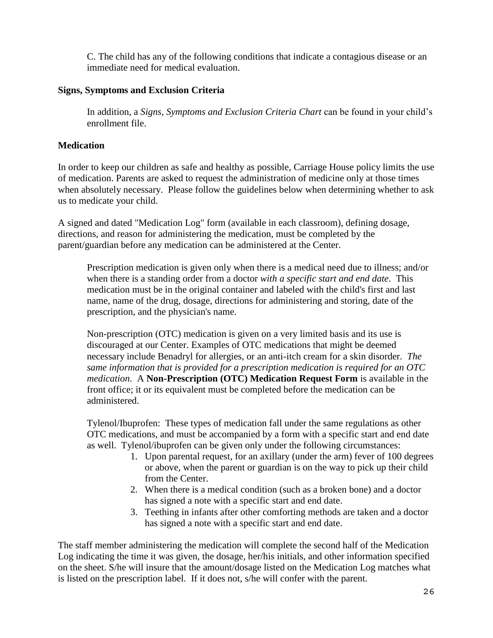C. The child has any of the following conditions that indicate a contagious disease or an immediate need for medical evaluation.

#### **Signs, Symptoms and Exclusion Criteria**

In addition, a *Signs, Symptoms and Exclusion Criteria Chart* can be found in your child's enrollment file.

#### **Medication**

In order to keep our children as safe and healthy as possible, Carriage House policy limits the use of medication. Parents are asked to request the administration of medicine only at those times when absolutely necessary. Please follow the guidelines below when determining whether to ask us to medicate your child.

A signed and dated "Medication Log" form (available in each classroom), defining dosage, directions, and reason for administering the medication, must be completed by the parent/guardian before any medication can be administered at the Center.

Prescription medication is given only when there is a medical need due to illness; and/or when there is a standing order from a doctor *with a specific start and end date*. This medication must be in the original container and labeled with the child's first and last name, name of the drug, dosage, directions for administering and storing, date of the prescription, and the physician's name.

Non-prescription (OTC) medication is given on a very limited basis and its use is discouraged at our Center. Examples of OTC medications that might be deemed necessary include Benadryl for allergies, or an anti-itch cream for a skin disorder. *The same information that is provided for a prescription medication is required for an OTC medication*. A **Non-Prescription (OTC) Medication Request Form** is available in the front office; it or its equivalent must be completed before the medication can be administered.

Tylenol/Ibuprofen: These types of medication fall under the same regulations as other OTC medications, and must be accompanied by a form with a specific start and end date as well. Tylenol/ibuprofen can be given only under the following circumstances:

- 1. Upon parental request, for an axillary (under the arm) fever of 100 degrees or above, when the parent or guardian is on the way to pick up their child from the Center.
- 2. When there is a medical condition (such as a broken bone) and a doctor has signed a note with a specific start and end date.
- 3. Teething in infants after other comforting methods are taken and a doctor has signed a note with a specific start and end date.

The staff member administering the medication will complete the second half of the Medication Log indicating the time it was given, the dosage, her/his initials, and other information specified on the sheet. S/he will insure that the amount/dosage listed on the Medication Log matches what is listed on the prescription label. If it does not, s/he will confer with the parent.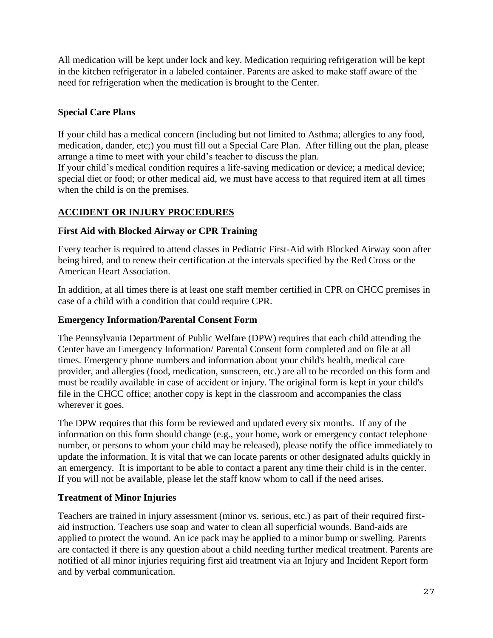All medication will be kept under lock and key. Medication requiring refrigeration will be kept in the kitchen refrigerator in a labeled container. Parents are asked to make staff aware of the need for refrigeration when the medication is brought to the Center.

#### **Special Care Plans**

If your child has a medical concern (including but not limited to Asthma; allergies to any food, medication, dander, etc;) you must fill out a Special Care Plan. After filling out the plan, please arrange a time to meet with your child's teacher to discuss the plan.

If your child's medical condition requires a life-saving medication or device; a medical device; special diet or food; or other medical aid, we must have access to that required item at all times when the child is on the premises.

#### **ACCIDENT OR INJURY PROCEDURES**

#### **First Aid with Blocked Airway or CPR Training**

Every teacher is required to attend classes in Pediatric First-Aid with Blocked Airway soon after being hired, and to renew their certification at the intervals specified by the Red Cross or the American Heart Association.

In addition, at all times there is at least one staff member certified in CPR on CHCC premises in case of a child with a condition that could require CPR.

#### **Emergency Information/Parental Consent Form**

The Pennsylvania Department of Public Welfare (DPW) requires that each child attending the Center have an Emergency Information/ Parental Consent form completed and on file at all times. Emergency phone numbers and information about your child's health, medical care provider, and allergies (food, medication, sunscreen, etc.) are all to be recorded on this form and must be readily available in case of accident or injury. The original form is kept in your child's file in the CHCC office; another copy is kept in the classroom and accompanies the class wherever it goes.

The DPW requires that this form be reviewed and updated every six months. If any of the information on this form should change (e.g., your home, work or emergency contact telephone number, or persons to whom your child may be released), please notify the office immediately to update the information. It is vital that we can locate parents or other designated adults quickly in an emergency. It is important to be able to contact a parent any time their child is in the center. If you will not be available, please let the staff know whom to call if the need arises.

#### **Treatment of Minor Injuries**

Teachers are trained in injury assessment (minor vs. serious, etc.) as part of their required firstaid instruction. Teachers use soap and water to clean all superficial wounds. Band-aids are applied to protect the wound. An ice pack may be applied to a minor bump or swelling. Parents are contacted if there is any question about a child needing further medical treatment. Parents are notified of all minor injuries requiring first aid treatment via an Injury and Incident Report form and by verbal communication.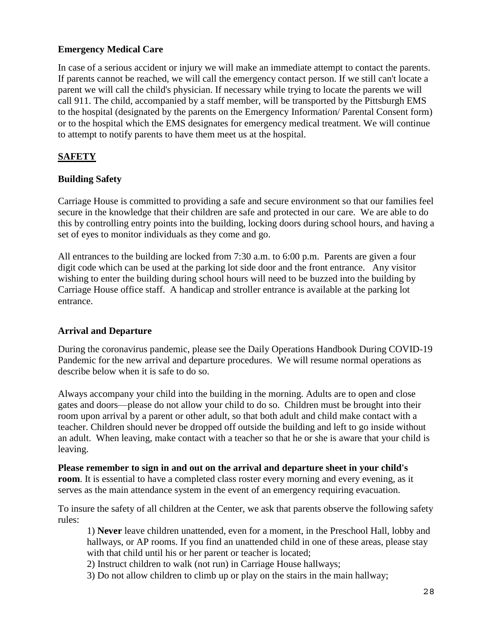#### **Emergency Medical Care**

In case of a serious accident or injury we will make an immediate attempt to contact the parents. If parents cannot be reached, we will call the emergency contact person. If we still can't locate a parent we will call the child's physician. If necessary while trying to locate the parents we will call 911. The child, accompanied by a staff member, will be transported by the Pittsburgh EMS to the hospital (designated by the parents on the Emergency Information/ Parental Consent form) or to the hospital which the EMS designates for emergency medical treatment. We will continue to attempt to notify parents to have them meet us at the hospital.

#### **SAFETY**

#### **Building Safety**

Carriage House is committed to providing a safe and secure environment so that our families feel secure in the knowledge that their children are safe and protected in our care. We are able to do this by controlling entry points into the building, locking doors during school hours, and having a set of eyes to monitor individuals as they come and go.

All entrances to the building are locked from 7:30 a.m. to 6:00 p.m. Parents are given a four digit code which can be used at the parking lot side door and the front entrance. Any visitor wishing to enter the building during school hours will need to be buzzed into the building by Carriage House office staff. A handicap and stroller entrance is available at the parking lot entrance.

#### **Arrival and Departure**

During the coronavirus pandemic, please see the Daily Operations Handbook During COVID-19 Pandemic for the new arrival and departure procedures. We will resume normal operations as describe below when it is safe to do so.

Always accompany your child into the building in the morning. Adults are to open and close gates and doors—please do not allow your child to do so. Children must be brought into their room upon arrival by a parent or other adult, so that both adult and child make contact with a teacher. Children should never be dropped off outside the building and left to go inside without an adult. When leaving, make contact with a teacher so that he or she is aware that your child is leaving.

**Please remember to sign in and out on the arrival and departure sheet in your child's room**. It is essential to have a completed class roster every morning and every evening, as it serves as the main attendance system in the event of an emergency requiring evacuation.

To insure the safety of all children at the Center, we ask that parents observe the following safety rules:

1) **Never** leave children unattended, even for a moment, in the Preschool Hall, lobby and hallways, or AP rooms. If you find an unattended child in one of these areas, please stay with that child until his or her parent or teacher is located;

2) Instruct children to walk (not run) in Carriage House hallways;

3) Do not allow children to climb up or play on the stairs in the main hallway;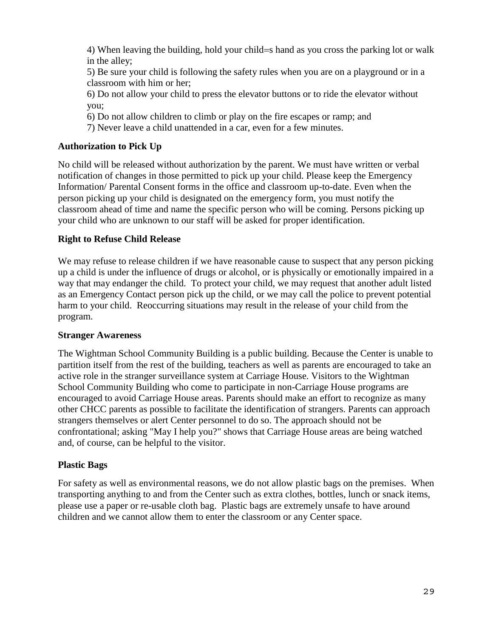4) When leaving the building, hold your child=s hand as you cross the parking lot or walk in the alley;

5) Be sure your child is following the safety rules when you are on a playground or in a classroom with him or her;

6) Do not allow your child to press the elevator buttons or to ride the elevator without you;

6) Do not allow children to climb or play on the fire escapes or ramp; and

7) Never leave a child unattended in a car, even for a few minutes.

#### **Authorization to Pick Up**

No child will be released without authorization by the parent. We must have written or verbal notification of changes in those permitted to pick up your child. Please keep the Emergency Information/ Parental Consent forms in the office and classroom up-to-date. Even when the person picking up your child is designated on the emergency form, you must notify the classroom ahead of time and name the specific person who will be coming. Persons picking up your child who are unknown to our staff will be asked for proper identification.

#### **Right to Refuse Child Release**

We may refuse to release children if we have reasonable cause to suspect that any person picking up a child is under the influence of drugs or alcohol, or is physically or emotionally impaired in a way that may endanger the child. To protect your child, we may request that another adult listed as an Emergency Contact person pick up the child, or we may call the police to prevent potential harm to your child. Reoccurring situations may result in the release of your child from the program.

#### **Stranger Awareness**

The Wightman School Community Building is a public building. Because the Center is unable to partition itself from the rest of the building, teachers as well as parents are encouraged to take an active role in the stranger surveillance system at Carriage House. Visitors to the Wightman School Community Building who come to participate in non-Carriage House programs are encouraged to avoid Carriage House areas. Parents should make an effort to recognize as many other CHCC parents as possible to facilitate the identification of strangers. Parents can approach strangers themselves or alert Center personnel to do so. The approach should not be confrontational; asking "May I help you?" shows that Carriage House areas are being watched and, of course, can be helpful to the visitor.

#### **Plastic Bags**

For safety as well as environmental reasons, we do not allow plastic bags on the premises. When transporting anything to and from the Center such as extra clothes, bottles, lunch or snack items, please use a paper or re-usable cloth bag. Plastic bags are extremely unsafe to have around children and we cannot allow them to enter the classroom or any Center space.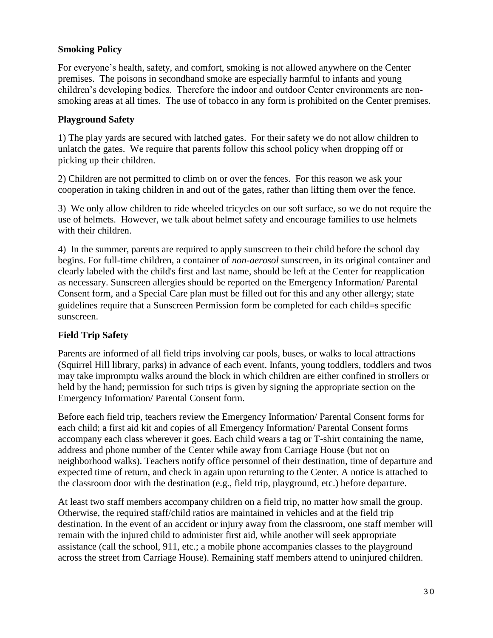#### **Smoking Policy**

For everyone's health, safety, and comfort, smoking is not allowed anywhere on the Center premises. The poisons in secondhand smoke are especially harmful to infants and young children's developing bodies. Therefore the indoor and outdoor Center environments are nonsmoking areas at all times. The use of tobacco in any form is prohibited on the Center premises.

#### **Playground Safety**

1) The play yards are secured with latched gates. For their safety we do not allow children to unlatch the gates. We require that parents follow this school policy when dropping off or picking up their children.

2) Children are not permitted to climb on or over the fences. For this reason we ask your cooperation in taking children in and out of the gates, rather than lifting them over the fence.

3) We only allow children to ride wheeled tricycles on our soft surface, so we do not require the use of helmets. However, we talk about helmet safety and encourage families to use helmets with their children.

4) In the summer, parents are required to apply sunscreen to their child before the school day begins. For full-time children, a container of *non-aerosol* sunscreen, in its original container and clearly labeled with the child's first and last name, should be left at the Center for reapplication as necessary. Sunscreen allergies should be reported on the Emergency Information/ Parental Consent form, and a Special Care plan must be filled out for this and any other allergy; state guidelines require that a Sunscreen Permission form be completed for each child=s specific sunscreen.

#### **Field Trip Safety**

Parents are informed of all field trips involving car pools, buses, or walks to local attractions (Squirrel Hill library, parks) in advance of each event. Infants, young toddlers, toddlers and twos may take impromptu walks around the block in which children are either confined in strollers or held by the hand; permission for such trips is given by signing the appropriate section on the Emergency Information/ Parental Consent form.

Before each field trip, teachers review the Emergency Information/ Parental Consent forms for each child; a first aid kit and copies of all Emergency Information/ Parental Consent forms accompany each class wherever it goes. Each child wears a tag or T-shirt containing the name, address and phone number of the Center while away from Carriage House (but not on neighborhood walks). Teachers notify office personnel of their destination, time of departure and expected time of return, and check in again upon returning to the Center. A notice is attached to the classroom door with the destination (e.g., field trip, playground, etc.) before departure.

At least two staff members accompany children on a field trip, no matter how small the group. Otherwise, the required staff/child ratios are maintained in vehicles and at the field trip destination. In the event of an accident or injury away from the classroom, one staff member will remain with the injured child to administer first aid, while another will seek appropriate assistance (call the school, 911, etc.; a mobile phone accompanies classes to the playground across the street from Carriage House). Remaining staff members attend to uninjured children.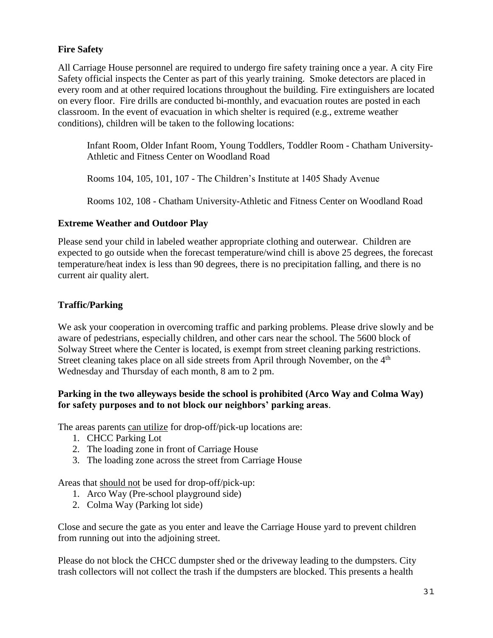#### **Fire Safety**

All Carriage House personnel are required to undergo fire safety training once a year. A city Fire Safety official inspects the Center as part of this yearly training. Smoke detectors are placed in every room and at other required locations throughout the building. Fire extinguishers are located on every floor. Fire drills are conducted bi-monthly, and evacuation routes are posted in each classroom. In the event of evacuation in which shelter is required (e.g., extreme weather conditions), children will be taken to the following locations:

Infant Room, Older Infant Room, Young Toddlers, Toddler Room - Chatham University-Athletic and Fitness Center on Woodland Road

Rooms 104, 105, 101, 107 - The Children's Institute at 1405 Shady Avenue

Rooms 102, 108 - Chatham University-Athletic and Fitness Center on Woodland Road

#### **Extreme Weather and Outdoor Play**

Please send your child in labeled weather appropriate clothing and outerwear. Children are expected to go outside when the forecast temperature/wind chill is above 25 degrees, the forecast temperature/heat index is less than 90 degrees, there is no precipitation falling, and there is no current air quality alert.

#### **Traffic/Parking**

We ask your cooperation in overcoming traffic and parking problems. Please drive slowly and be aware of pedestrians, especially children, and other cars near the school. The 5600 block of Solway Street where the Center is located, is exempt from street cleaning parking restrictions. Street cleaning takes place on all side streets from April through November, on the 4<sup>th</sup> Wednesday and Thursday of each month, 8 am to 2 pm.

#### **Parking in the two alleyways beside the school is prohibited (Arco Way and Colma Way) for safety purposes and to not block our neighbors' parking areas**.

The areas parents can utilize for drop-off/pick-up locations are:

- 1. CHCC Parking Lot
- 2. The loading zone in front of Carriage House
- 3. The loading zone across the street from Carriage House

Areas that should not be used for drop-off/pick-up:

- 1. Arco Way (Pre-school playground side)
- 2. Colma Way (Parking lot side)

Close and secure the gate as you enter and leave the Carriage House yard to prevent children from running out into the adjoining street.

Please do not block the CHCC dumpster shed or the driveway leading to the dumpsters. City trash collectors will not collect the trash if the dumpsters are blocked. This presents a health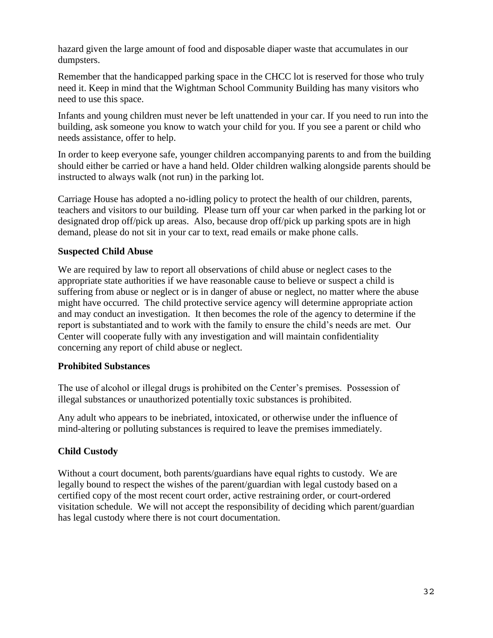hazard given the large amount of food and disposable diaper waste that accumulates in our dumpsters.

Remember that the handicapped parking space in the CHCC lot is reserved for those who truly need it. Keep in mind that the Wightman School Community Building has many visitors who need to use this space.

Infants and young children must never be left unattended in your car. If you need to run into the building, ask someone you know to watch your child for you. If you see a parent or child who needs assistance, offer to help.

In order to keep everyone safe, younger children accompanying parents to and from the building should either be carried or have a hand held. Older children walking alongside parents should be instructed to always walk (not run) in the parking lot.

Carriage House has adopted a no-idling policy to protect the health of our children, parents, teachers and visitors to our building. Please turn off your car when parked in the parking lot or designated drop off/pick up areas. Also, because drop off/pick up parking spots are in high demand, please do not sit in your car to text, read emails or make phone calls.

#### **Suspected Child Abuse**

We are required by law to report all observations of child abuse or neglect cases to the appropriate state authorities if we have reasonable cause to believe or suspect a child is suffering from abuse or neglect or is in danger of abuse or neglect, no matter where the abuse might have occurred. The child protective service agency will determine appropriate action and may conduct an investigation. It then becomes the role of the agency to determine if the report is substantiated and to work with the family to ensure the child's needs are met. Our Center will cooperate fully with any investigation and will maintain confidentiality concerning any report of child abuse or neglect.

#### **Prohibited Substances**

The use of alcohol or illegal drugs is prohibited on the Center's premises. Possession of illegal substances or unauthorized potentially toxic substances is prohibited.

Any adult who appears to be inebriated, intoxicated, or otherwise under the influence of mind-altering or polluting substances is required to leave the premises immediately.

#### **Child Custody**

Without a court document, both parents/guardians have equal rights to custody. We are legally bound to respect the wishes of the parent/guardian with legal custody based on a certified copy of the most recent court order, active restraining order, or court-ordered visitation schedule. We will not accept the responsibility of deciding which parent/guardian has legal custody where there is not court documentation.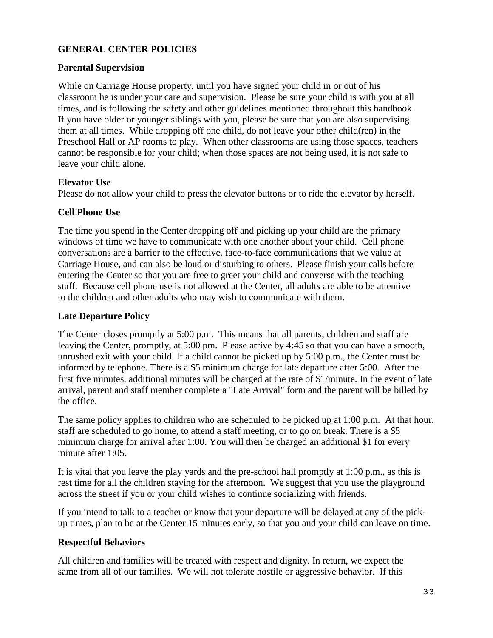#### **GENERAL CENTER POLICIES**

#### **Parental Supervision**

While on Carriage House property, until you have signed your child in or out of his classroom he is under your care and supervision. Please be sure your child is with you at all times, and is following the safety and other guidelines mentioned throughout this handbook. If you have older or younger siblings with you, please be sure that you are also supervising them at all times. While dropping off one child, do not leave your other child(ren) in the Preschool Hall or AP rooms to play. When other classrooms are using those spaces, teachers cannot be responsible for your child; when those spaces are not being used, it is not safe to leave your child alone.

#### **Elevator Use**

Please do not allow your child to press the elevator buttons or to ride the elevator by herself.

#### **Cell Phone Use**

The time you spend in the Center dropping off and picking up your child are the primary windows of time we have to communicate with one another about your child. Cell phone conversations are a barrier to the effective, face-to-face communications that we value at Carriage House, and can also be loud or disturbing to others. Please finish your calls before entering the Center so that you are free to greet your child and converse with the teaching staff. Because cell phone use is not allowed at the Center, all adults are able to be attentive to the children and other adults who may wish to communicate with them.

#### **Late Departure Policy**

The Center closes promptly at 5:00 p.m. This means that all parents, children and staff are leaving the Center, promptly, at 5:00 pm. Please arrive by 4:45 so that you can have a smooth, unrushed exit with your child. If a child cannot be picked up by 5:00 p.m., the Center must be informed by telephone. There is a \$5 minimum charge for late departure after 5:00. After the first five minutes, additional minutes will be charged at the rate of \$1/minute. In the event of late arrival, parent and staff member complete a "Late Arrival" form and the parent will be billed by the office.

The same policy applies to children who are scheduled to be picked up at 1:00 p.m. At that hour, staff are scheduled to go home, to attend a staff meeting, or to go on break. There is a \$5 minimum charge for arrival after 1:00. You will then be charged an additional \$1 for every minute after 1:05.

It is vital that you leave the play yards and the pre-school hall promptly at 1:00 p.m., as this is rest time for all the children staying for the afternoon. We suggest that you use the playground across the street if you or your child wishes to continue socializing with friends.

If you intend to talk to a teacher or know that your departure will be delayed at any of the pickup times, plan to be at the Center 15 minutes early, so that you and your child can leave on time.

#### **Respectful Behaviors**

All children and families will be treated with respect and dignity. In return, we expect the same from all of our families. We will not tolerate hostile or aggressive behavior. If this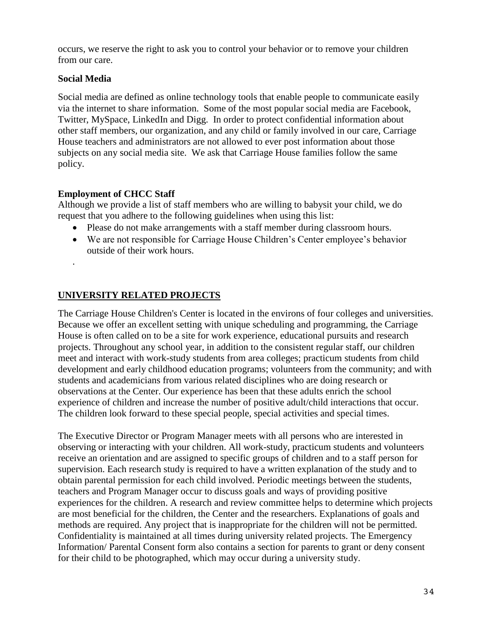occurs, we reserve the right to ask you to control your behavior or to remove your children from our care.

#### **Social Media**

Social media are defined as online technology tools that enable people to communicate easily via the internet to share information. Some of the most popular social media are Facebook, Twitter, MySpace, LinkedIn and Digg. In order to protect confidential information about other staff members, our organization, and any child or family involved in our care, Carriage House teachers and administrators are not allowed to ever post information about those subjects on any social media site. We ask that Carriage House families follow the same policy.

#### **Employment of CHCC Staff**

Although we provide a list of staff members who are willing to babysit your child, we do request that you adhere to the following guidelines when using this list:

- Please do not make arrangements with a staff member during classroom hours.
- We are not responsible for Carriage House Children's Center employee's behavior outside of their work hours.
- .

#### **UNIVERSITY RELATED PROJECTS**

The Carriage House Children's Center is located in the environs of four colleges and universities. Because we offer an excellent setting with unique scheduling and programming, the Carriage House is often called on to be a site for work experience, educational pursuits and research projects. Throughout any school year, in addition to the consistent regular staff, our children meet and interact with work-study students from area colleges; practicum students from child development and early childhood education programs; volunteers from the community; and with students and academicians from various related disciplines who are doing research or observations at the Center. Our experience has been that these adults enrich the school experience of children and increase the number of positive adult/child interactions that occur. The children look forward to these special people, special activities and special times.

The Executive Director or Program Manager meets with all persons who are interested in observing or interacting with your children. All work-study, practicum students and volunteers receive an orientation and are assigned to specific groups of children and to a staff person for supervision. Each research study is required to have a written explanation of the study and to obtain parental permission for each child involved. Periodic meetings between the students, teachers and Program Manager occur to discuss goals and ways of providing positive experiences for the children. A research and review committee helps to determine which projects are most beneficial for the children, the Center and the researchers. Explanations of goals and methods are required. Any project that is inappropriate for the children will not be permitted. Confidentiality is maintained at all times during university related projects. The Emergency Information/ Parental Consent form also contains a section for parents to grant or deny consent for their child to be photographed, which may occur during a university study.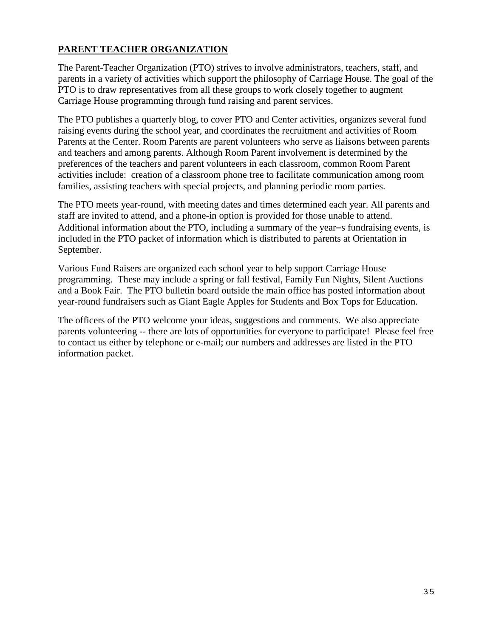#### **PARENT TEACHER ORGANIZATION**

The Parent-Teacher Organization (PTO) strives to involve administrators, teachers, staff, and parents in a variety of activities which support the philosophy of Carriage House. The goal of the PTO is to draw representatives from all these groups to work closely together to augment Carriage House programming through fund raising and parent services.

The PTO publishes a quarterly blog, to cover PTO and Center activities, organizes several fund raising events during the school year, and coordinates the recruitment and activities of Room Parents at the Center. Room Parents are parent volunteers who serve as liaisons between parents and teachers and among parents. Although Room Parent involvement is determined by the preferences of the teachers and parent volunteers in each classroom, common Room Parent activities include: creation of a classroom phone tree to facilitate communication among room families, assisting teachers with special projects, and planning periodic room parties.

The PTO meets year-round, with meeting dates and times determined each year. All parents and staff are invited to attend, and a phone-in option is provided for those unable to attend. Additional information about the PTO, including a summary of the year  $=$  fundraising events, is included in the PTO packet of information which is distributed to parents at Orientation in September.

Various Fund Raisers are organized each school year to help support Carriage House programming. These may include a spring or fall festival, Family Fun Nights, Silent Auctions and a Book Fair. The PTO bulletin board outside the main office has posted information about year-round fundraisers such as Giant Eagle Apples for Students and Box Tops for Education.

The officers of the PTO welcome your ideas, suggestions and comments. We also appreciate parents volunteering -- there are lots of opportunities for everyone to participate! Please feel free to contact us either by telephone or e-mail; our numbers and addresses are listed in the PTO information packet.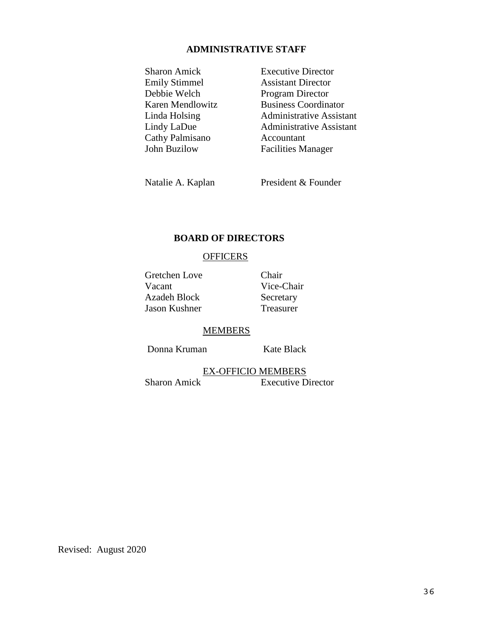#### **ADMINISTRATIVE STAFF**

Sharon Amick Executive Director Emily Stimmel Assistant Director Debbie Welch Program Director Cathy Palmisano Accountant John Buzilow Facilities Manager

Karen Mendlowitz Business Coordinator Linda Holsing Administrative Assistant Lindy LaDue Administrative Assistant

Natalie A. Kaplan President & Founder

#### **BOARD OF DIRECTORS**

#### **OFFICERS**

Gretchen Love Chair Vacant Vice-Chair Azadeh Block Secretary Jason Kushner Treasurer

#### MEMBERS

Donna Kruman Kate Black

EX-OFFICIO MEMBERS Sharon Amick Executive Director

Revised: August 2020